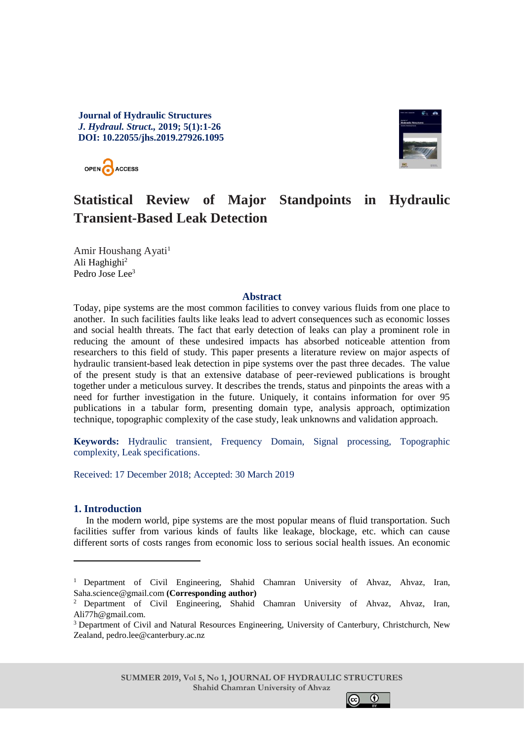**Journal of Hydraulic Structures**  *J. Hydraul. Struct.,* **2019; 5(1):1-26 DOI: 10.22055/jhs.2019.27926.1095**



# **Statistical Review of Major Standpoints in Hydraulic Transient-Based Leak Detection**

Amir Houshang Ayati<sup>1</sup> Ali Haghighi<sup>2</sup> Pedro Jose Lee<sup>3</sup>

OPEN ACCESS

#### **Abstract**

Today, pipe systems are the most common facilities to convey various fluids from one place to another. In such facilities faults like leaks lead to advert consequences such as economic losses and social health threats. The fact that early detection of leaks can play a prominent role in reducing the amount of these undesired impacts has absorbed noticeable attention from researchers to this field of study. This paper presents a literature review on major aspects of hydraulic transient-based leak detection in pipe systems over the past three decades. The value of the present study is that an extensive database of peer-reviewed publications is brought together under a meticulous survey. It describes the trends, status and pinpoints the areas with a need for further investigation in the future. Uniquely, it contains information for over 95 publications in a tabular form, presenting domain type, analysis approach, optimization technique, topographic complexity of the case study, leak unknowns and validation approach.

**Keywords:** Hydraulic transient, Frequency Domain, Signal processing, Topographic complexity, Leak specifications.

Received: 17 December 2018; Accepted: 30 March 2019

### **1. Introduction**

-

In the modern world, pipe systems are the most popular means of fluid transportation. Such facilities suffer from various kinds of faults like leakage, blockage, etc. which can cause different sorts of costs ranges from economic loss to serious social health issues. An economic



<sup>1</sup> Department of Civil Engineering, Shahid Chamran University of Ahvaz, Ahvaz, Iran, Saha.science@gmail.com **(Corresponding author)**

<sup>2</sup> Department of Civil Engineering, Shahid Chamran University of Ahvaz, Ahvaz, Iran, Ali77h@gmail.com.

<sup>3</sup> Department of Civil and Natural Resources Engineering, University of Canterbury, Christchurch, New Zealand, pedro.lee@canterbury.ac.nz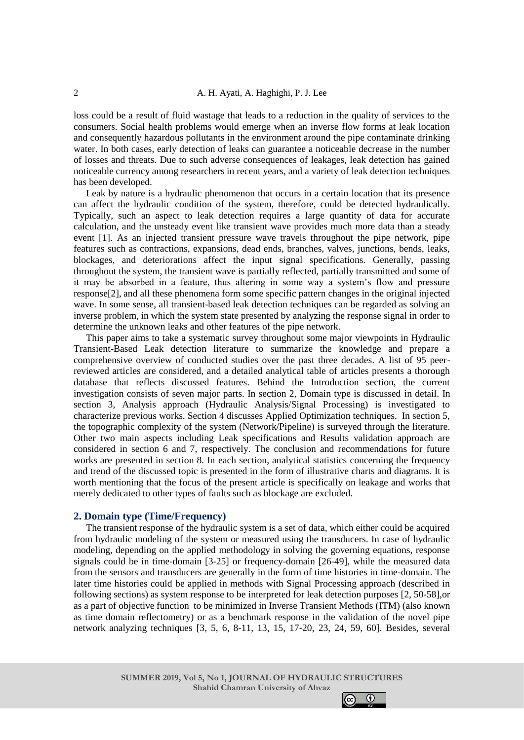loss could be a result of fluid wastage that leads to a reduction in the quality of services to the consumers. Social health problems would emerge when an inverse flow forms at leak location and consequently hazardous pollutants in the environment around the pipe contaminate drinking water. In both cases, early detection of leaks can guarantee a noticeable decrease in the number of losses and threats. Due to such adverse consequences of leakages, leak detection has gained noticeable currency among researchers in recent years, and a variety of leak detection techniques has been developed.

Leak by nature is a hydraulic phenomenon that occurs in a certain location that its presence can affect the hydraulic condition of the system, therefore, could be detected hydraulically. Typically, such an aspect to leak detection requires a large quantity of data for accurate calculation, and the unsteady event like transient wave provides much more data than a steady event [1]. As an injected transient pressure wave travels throughout the pipe network, pipe features such as contractions, expansions, dead ends, branches, valves, junctions, bends, leaks, blockages, and deteriorations affect the input signal specifications. Generally, passing throughout the system, the transient wave is partially reflected, partially transmitted and some of it may be absorbed in a feature, thus altering in some way a system's flow and pressure response[2], and all these phenomena form some specific pattern changes in the original injected wave. In some sense, all transient-based leak detection techniques can be regarded as solving an inverse problem, in which the system state presented by analyzing the response signal in order to determine the unknown leaks and other features of the pipe network.

This paper aims to take a systematic survey throughout some major viewpoints in Hydraulic Transient-Based Leak detection literature to summarize the knowledge and prepare a comprehensive overview of conducted studies over the past three decades. A list of 95 peerreviewed articles are considered, and a detailed analytical table of articles presents a thorough database that reflects discussed features. Behind the Introduction section, the current investigation consists of seven major parts. In section 2, Domain type is discussed in detail. In section 3, Analysis approach (Hydraulic Analysis/Signal Processing) is investigated to characterize previous works. Section 4 discusses Applied Optimization techniques. In section 5, the topographic complexity of the system (Network/Pipeline) is surveyed through the literature. Other two main aspects including Leak specifications and Results validation approach are considered in section 6 and 7, respectively. The conclusion and recommendations for future works are presented in section 8. In each section, analytical statistics concerning the frequency and trend of the discussed topic is presented in the form of illustrative charts and diagrams. It is worth mentioning that the focus of the present article is specifically on leakage and works that merely dedicated to other types of faults such as blockage are excluded.

## **2. Domain type (Time/Frequency)**

The transient response of the hydraulic system is a set of data, which either could be acquired from hydraulic modeling of the system or measured using the transducers. In case of hydraulic modeling, depending on the applied methodology in solving the governing equations, response signals could be in time-domain [3-25] or frequency-domain [26-49], while the measured data from the sensors and transducers are generally in the form of time histories in time-domain. The later time histories could be applied in methods with Signal Processing approach (described in following sections) as system response to be interpreted for leak detection purposes [2, 50-58],or as a part of objective function to be minimized in Inverse Transient Methods (ITM) (also known as time domain reflectometry) or as a benchmark response in the validation of the novel pipe network analyzing techniques [3, 5, 6, 8-11, 13, 15, 17-20, 23, 24, 59, 60]. Besides, several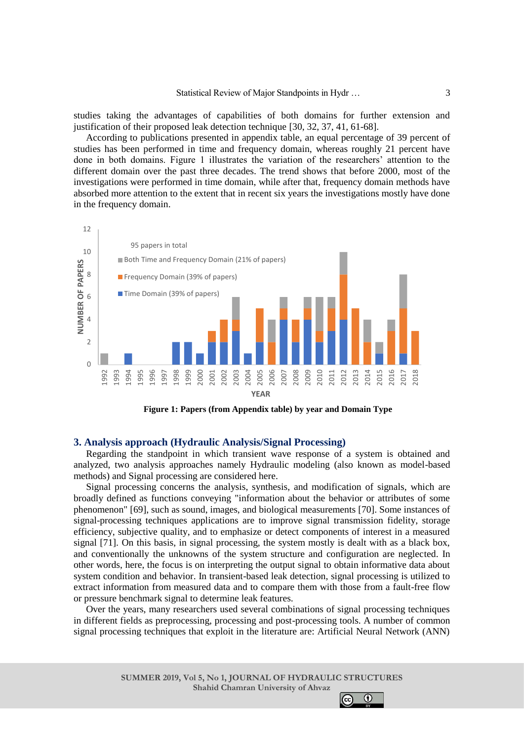studies taking the advantages of capabilities of both domains for further extension and justification of their proposed leak detection technique [30, 32, 37, 41, 61-68].

According to publications presented in appendix table, an equal percentage of 39 percent of studies has been performed in time and frequency domain, whereas roughly 21 percent have done in both domains. Figure 1 illustrates the variation of the researchers' attention to the different domain over the past three decades. The trend shows that before 2000, most of the investigations were performed in time domain, while after that, frequency domain methods have absorbed more attention to the extent that in recent six years the investigations mostly have done in the frequency domain.



**Figure 1: Papers (from Appendix table) by year and Domain Type**

### **3. Analysis approach (Hydraulic Analysis/Signal Processing)**

Regarding the standpoint in which transient wave response of a system is obtained and analyzed, two analysis approaches namely Hydraulic modeling (also known as model-based methods) and Signal processing are considered here.

Signal processing concerns the analysis, synthesis, and modification of [signals,](https://en.wikipedia.org/wiki/Signal) which are broadly defined as functions conveying "information about the behavior or attributes of some phenomenon" [69], such as [sound,](https://en.wikipedia.org/wiki/Audio_signal_processing) [images,](https://en.wikipedia.org/wiki/Image_processing) and biological measurements [70]. Some instances of signal-processing techniques applications are to improve signal transmission fidelity, storage efficiency, subjective quality, and to emphasize or detect components of interest in a measured signal [71]. On this basis, in signal processing, the system mostly is dealt with as a black box, and conventionally the unknowns of the system structure and configuration are neglected. In other words, here, the focus is on interpreting the output signal to obtain informative data about system condition and behavior. In transient-based leak detection, signal processing is utilized to extract information from measured data and to compare them with those from a fault-free flow or pressure benchmark signal to determine leak features.

Over the years, many researchers used several combinations of signal processing techniques in different fields as preprocessing, processing and post-processing tools. A number of common signal processing techniques that exploit in the literature are: Artificial Neural Network (ANN)

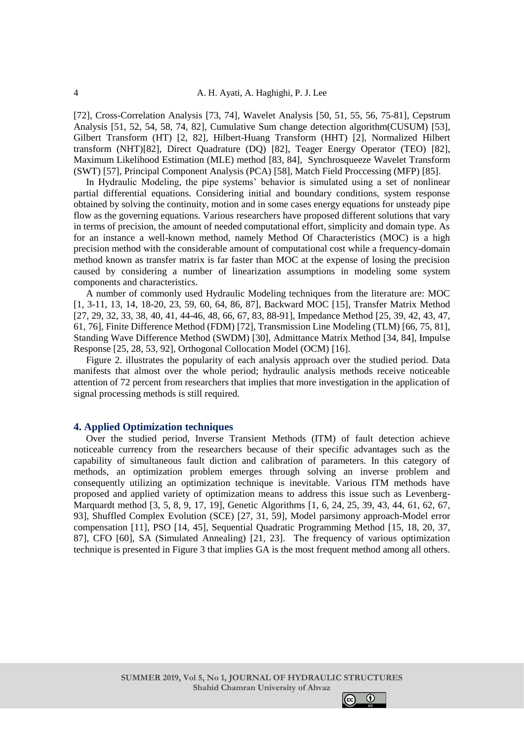[72], Cross-Correlation Analysis [73, 74], Wavelet Analysis [50, 51, 55, 56, 75-81], Cepstrum Analysis [51, 52, 54, 58, 74, 82], Cumulative Sum change detection algorithm(CUSUM) [53], Gilbert Transform (HT) [2, 82], Hilbert-Huang Transform (HHT) [2], Normalized Hilbert transform (NHT)[82], Direct Quadrature (DQ) [82], Teager Energy Operator (TEO) [82], Maximum Likelihood Estimation (MLE) method [83, 84], Synchrosqueeze Wavelet Transform (SWT) [57], Principal Component Analysis (PCA) [58], Match Field Proccessing (MFP) [85].

In Hydraulic Modeling, the pipe systems' behavior is simulated using a set of nonlinear partial differential equations. Considering initial and boundary conditions, system response obtained by solving the continuity, motion and in some cases energy equations for unsteady pipe flow as the governing equations. Various researchers have proposed different solutions that vary in terms of precision, the amount of needed computational effort, simplicity and domain type. As for an instance a well-known method, namely Method Of Characteristics (MOC) is a high precision method with the considerable amount of computational cost while a frequency-domain method known as transfer matrix is far faster than MOC at the expense of losing the precision caused by considering a number of linearization assumptions in modeling some system components and characteristics.

A number of commonly used Hydraulic Modeling techniques from the literature are: MOC [1, 3-11, 13, 14, 18-20, 23, 59, 60, 64, 86, 87], Backward MOC [15], Transfer Matrix Method [27, 29, 32, 33, 38, 40, 41, 44-46, 48, 66, 67, 83, 88-91], Impedance Method [25, 39, 42, 43, 47, 61, 76], Finite Difference Method (FDM) [72], Transmission Line Modeling (TLM) [66, 75, 81], Standing Wave Difference Method (SWDM) [30], Admittance Matrix Method [34, 84], Impulse Response [25, 28, 53, 92], Orthogonal Collocation Model (OCM) [16].

Figure 2. illustrates the popularity of each analysis approach over the studied period. Data manifests that almost over the whole period; hydraulic analysis methods receive noticeable attention of 72 percent from researchers that implies that more investigation in the application of signal processing methods is still required.

### **4. Applied Optimization techniques**

Over the studied period, Inverse Transient Methods (ITM) of fault detection achieve noticeable currency from the researchers because of their specific advantages such as the capability of simultaneous fault diction and calibration of parameters. In this category of methods, an optimization problem emerges through solving an inverse problem and consequently utilizing an optimization technique is inevitable. Various ITM methods have proposed and applied variety of optimization means to address this issue such as Levenberg-Marquardt method [3, 5, 8, 9, 17, 19], Genetic Algorithms [1, 6, 24, 25, 39, 43, 44, 61, 62, 67, 93], Shuffled Complex Evolution (SCE) [27, 31, 59], Model parsimony approach-Model error compensation [11], PSO [14, 45], Sequential Quadratic Programming Method [15, 18, 20, 37, 87], CFO [60], SA (Simulated Annealing) [21, 23]. The frequency of various optimization technique is presented in Figure 3 that implies GA is the most frequent method among all others.

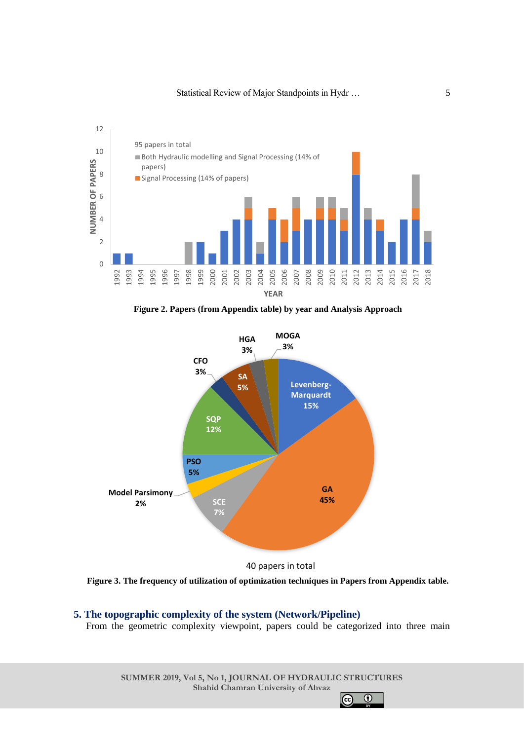

**Figure 2. Papers (from Appendix table) by year and Analysis Approach**



**Figure 3. The frequency of utilization of optimization techniques in Papers from Appendix table.**

### **5. The topographic complexity of the system (Network/Pipeline)**

From the geometric complexity viewpoint, papers could be categorized into three main

**SUMMER 2019, Vol 5, No 1, JOURNAL OF HYDRAULIC STRUCTURES Shahid Chamran University of Ahvaz**

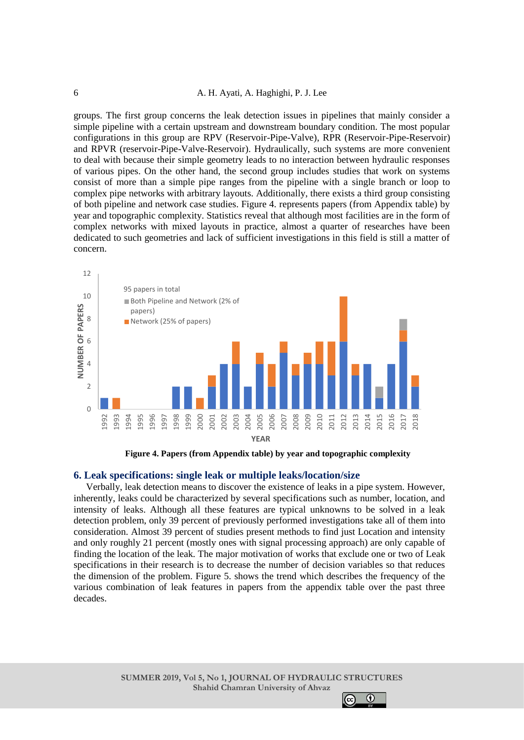#### A. H. Ayati, A. Haghighi, P. J. Lee

groups. The first group concerns the leak detection issues in pipelines that mainly consider a simple pipeline with a certain upstream and downstream boundary condition. The most popular configurations in this group are RPV (Reservoir-Pipe-Valve), RPR (Reservoir-Pipe-Reservoir) and RPVR (reservoir-Pipe-Valve-Reservoir). Hydraulically, such systems are more convenient to deal with because their simple geometry leads to no interaction between hydraulic responses of various pipes. On the other hand, the second group includes studies that work on systems consist of more than a simple pipe ranges from the pipeline with a single branch or loop to complex pipe networks with arbitrary layouts. Additionally, there exists a third group consisting of both pipeline and network case studies. Figure 4. represents papers (from Appendix table) by year and topographic complexity. Statistics reveal that although most facilities are in the form of complex networks with mixed layouts in practice, almost a quarter of researches have been dedicated to such geometries and lack of sufficient investigations in this field is still a matter of concern.





#### **6. Leak specifications: single leak or multiple leaks/location/size**

Verbally, leak detection means to discover the existence of leaks in a pipe system. However, inherently, leaks could be characterized by several specifications such as number, location, and intensity of leaks. Although all these features are typical unknowns to be solved in a leak detection problem, only 39 percent of previously performed investigations take all of them into consideration. Almost 39 percent of studies present methods to find just Location and intensity and only roughly 21 percent (mostly ones with signal processing approach) are only capable of finding the location of the leak. The major motivation of works that exclude one or two of Leak specifications in their research is to decrease the number of decision variables so that reduces the dimension of the problem. Figure 5. shows the trend which describes the frequency of the various combination of leak features in papers from the appendix table over the past three decades.

> **SUMMER 2019, Vol 5, No 1, JOURNAL OF HYDRAULIC STRUCTURES Shahid Chamran University of Ahvaz**

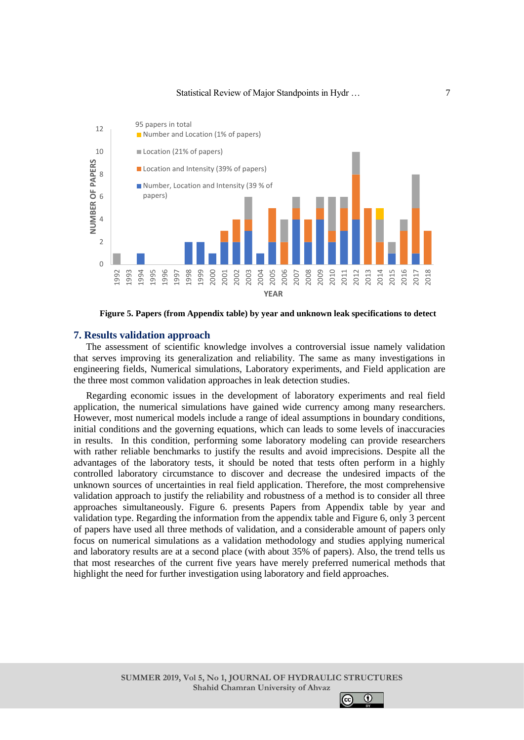

**Figure 5. Papers (from Appendix table) by year and unknown leak specifications to detect**

#### **7. Results validation approach**

The assessment of scientific knowledge involves a controversial issue namely validation that serves improving its generalization and reliability. The same as many investigations in engineering fields, Numerical simulations, Laboratory experiments, and Field application are the three most common validation approaches in leak detection studies.

Regarding economic issues in the development of laboratory experiments and real field application, the numerical simulations have gained wide currency among many researchers. However, most numerical models include a range of ideal assumptions in boundary conditions, initial conditions and the governing equations, which can leads to some levels of inaccuracies in results. In this condition, performing some laboratory modeling can provide researchers with rather reliable benchmarks to justify the results and avoid imprecisions. Despite all the advantages of the laboratory tests, it should be noted that tests often perform in a highly controlled laboratory circumstance to discover and decrease the undesired impacts of the unknown sources of uncertainties in real field application. Therefore, the most comprehensive validation approach to justify the reliability and robustness of a method is to consider all three approaches simultaneously. Figure 6. presents Papers from Appendix table by year and validation type. Regarding the information from the appendix table and Figure 6, only 3 percent of papers have used all three methods of validation, and a considerable amount of papers only focus on numerical simulations as a validation methodology and studies applying numerical and laboratory results are at a second place (with about 35% of papers). Also, the trend tells us that most researches of the current five years have merely preferred numerical methods that highlight the need for further investigation using laboratory and field approaches.

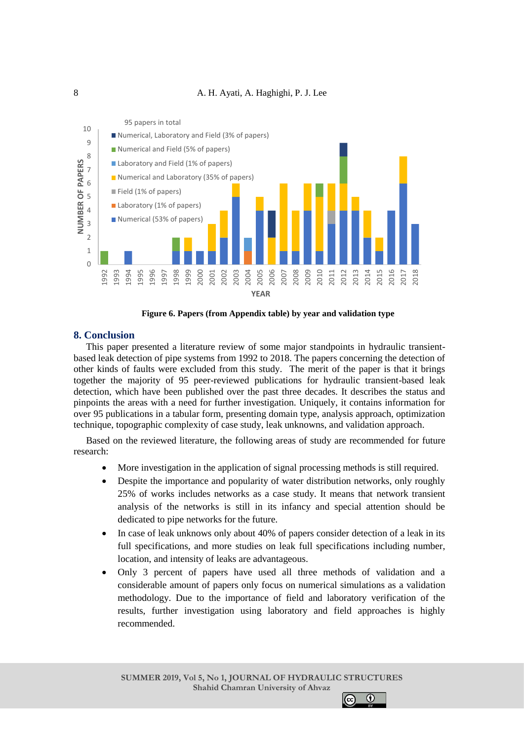



**Figure 6. Papers (from Appendix table) by year and validation type**

### **8. Conclusion**

This paper presented a literature review of some major standpoints in hydraulic transientbased leak detection of pipe systems from 1992 to 2018. The papers concerning the detection of other kinds of faults were excluded from this study. The merit of the paper is that it brings together the majority of 95 peer-reviewed publications for hydraulic transient-based leak detection, which have been published over the past three decades. It describes the status and pinpoints the areas with a need for further investigation. Uniquely, it contains information for over 95 publications in a tabular form, presenting domain type, analysis approach, optimization technique, topographic complexity of case study, leak unknowns, and validation approach.

Based on the reviewed literature, the following areas of study are recommended for future research:

- More investigation in the application of signal processing methods is still required.
- Despite the importance and popularity of water distribution networks, only roughly 25% of works includes networks as a case study. It means that network transient analysis of the networks is still in its infancy and special attention should be dedicated to pipe networks for the future.
- In case of leak unknows only about 40% of papers consider detection of a leak in its full specifications, and more studies on leak full specifications including number, location, and intensity of leaks are advantageous.
- Only 3 percent of papers have used all three methods of validation and a considerable amount of papers only focus on numerical simulations as a validation methodology. Due to the importance of field and laboratory verification of the results, further investigation using laboratory and field approaches is highly recommended.

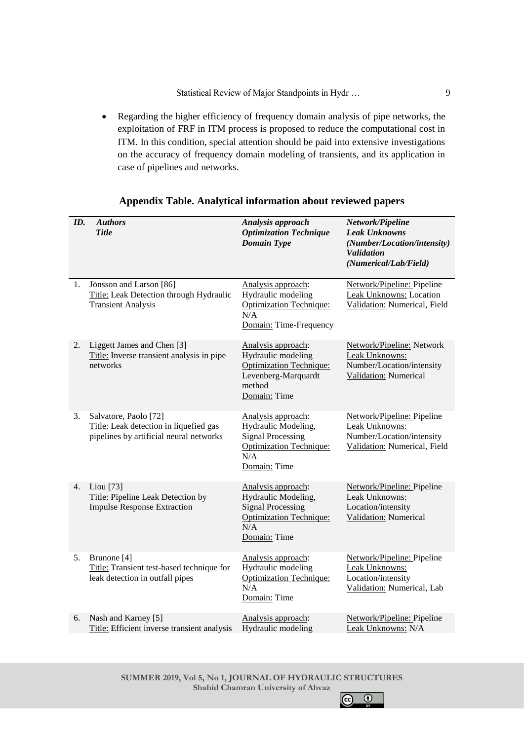• Regarding the higher efficiency of frequency domain analysis of pipe networks, the exploitation of FRF in ITM process is proposed to reduce the computational cost in ITM. In this condition, special attention should be paid into extensive investigations on the accuracy of frequency domain modeling of transients, and its application in case of pipelines and networks.

| ID. | <b>Authors</b><br><b>Title</b>                                                                             | Analysis approach<br><b>Optimization Technique</b><br><b>Domain Type</b>                                                       | Network/Pipeline<br><b>Leak Unknowns</b><br>(Number/Location/intensity)<br><b>Validation</b><br>(Numerical/Lab/Field) |
|-----|------------------------------------------------------------------------------------------------------------|--------------------------------------------------------------------------------------------------------------------------------|-----------------------------------------------------------------------------------------------------------------------|
| 1.  | Jönsson and Larson [86]<br>Title: Leak Detection through Hydraulic<br><b>Transient Analysis</b>            | Analysis approach:<br>Hydraulic modeling<br><b>Optimization Technique:</b><br>N/A<br>Domain: Time-Frequency                    | Network/Pipeline: Pipeline<br>Leak Unknowns: Location<br>Validation: Numerical, Field                                 |
| 2.  | Liggett James and Chen [3]<br>Title: Inverse transient analysis in pipe<br>networks                        | Analysis approach:<br>Hydraulic modeling<br><b>Optimization Technique:</b><br>Levenberg-Marquardt<br>method<br>Domain: Time    | Network/Pipeline: Network<br>Leak Unknowns:<br>Number/Location/intensity<br>Validation: Numerical                     |
| 3.  | Salvatore, Paolo [72]<br>Title: Leak detection in liquefied gas<br>pipelines by artificial neural networks | Analysis approach:<br>Hydraulic Modeling,<br><b>Signal Processing</b><br><b>Optimization Technique:</b><br>N/A<br>Domain: Time | Network/Pipeline: Pipeline<br>Leak Unknowns:<br>Number/Location/intensity<br>Validation: Numerical, Field             |
| 4.  | Liou [73]<br>Title: Pipeline Leak Detection by<br><b>Impulse Response Extraction</b>                       | Analysis approach:<br>Hydraulic Modeling,<br><b>Signal Processing</b><br><b>Optimization Technique:</b><br>N/A<br>Domain: Time | Network/Pipeline: Pipeline<br>Leak Unknowns:<br>Location/intensity<br>Validation: Numerical                           |
| 5.  | Brunone [4]<br>Title: Transient test-based technique for<br>leak detection in outfall pipes                | Analysis approach:<br>Hydraulic modeling<br><b>Optimization Technique:</b><br>N/A<br>Domain: Time                              | Network/Pipeline: Pipeline<br>Leak Unknowns:<br>Location/intensity<br>Validation: Numerical, Lab                      |
| 6.  | Nash and Karney [5]<br>Title: Efficient inverse transient analysis                                         | Analysis approach:<br>Hydraulic modeling                                                                                       | Network/Pipeline: Pipeline<br>Leak Unknowns: N/A                                                                      |
|     |                                                                                                            |                                                                                                                                |                                                                                                                       |

# **Appendix Table. Analytical information about reviewed papers**

**SUMMER 2019, Vol 5, No 1, JOURNAL OF HYDRAULIC STRUCTURES Shahid Chamran University of Ahvaz**  $\bullet$ 

 $\odot$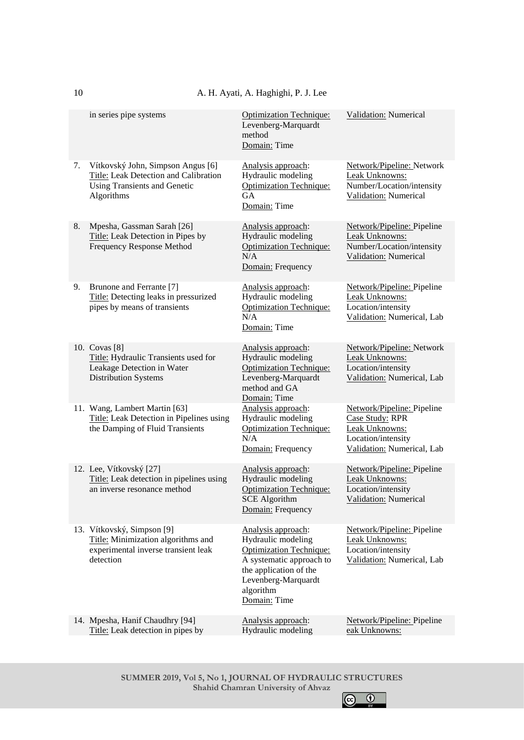| <b>Validation:</b> Numerical<br><b>Optimization Technique:</b><br>in series pipe systems<br>Levenberg-Marquardt<br>method<br>Domain: Time<br>Vítkovský John, Simpson Angus [6]<br>Analysis approach:<br>7.<br>Network/Pipeline: Network<br>Title: Leak Detection and Calibration<br>Hydraulic modeling<br>Leak Unknowns:<br>Number/Location/intensity<br>Using Transients and Genetic<br><b>Optimization Technique:</b><br>Algorithms<br><b>GA</b><br>Validation: Numerical<br>Domain: Time<br>Mpesha, Gassman Sarah [26]<br>8.<br>Analysis approach:<br>Network/Pipeline: Pipeline<br>Title: Leak Detection in Pipes by<br>Hydraulic modeling<br>Leak Unknowns:<br>Frequency Response Method<br>Number/Location/intensity<br><b>Optimization Technique:</b><br>N/A<br>Validation: Numerical<br>Domain: Frequency<br>Brunone and Ferrante [7]<br>Analysis approach:<br>Network/Pipeline: Pipeline<br>9.<br>Title: Detecting leaks in pressurized<br>Hydraulic modeling<br>Leak Unknowns:<br>Location/intensity<br>pipes by means of transients<br><b>Optimization Technique:</b><br>N/A<br>Validation: Numerical, Lab<br>Domain: Time<br>10. Covas [8]<br>Analysis approach:<br>Network/Pipeline: Network<br>Hydraulic modeling<br>Title: Hydraulic Transients used for<br>Leak Unknowns:<br>Leakage Detection in Water<br>Location/intensity<br><b>Optimization Technique:</b><br><b>Distribution Systems</b><br>Levenberg-Marquardt<br>Validation: Numerical, Lab<br>method and GA<br>Domain: Time<br>Analysis approach:<br>11. Wang, Lambert Martin [63]<br>Network/Pipeline: Pipeline<br>Title: Leak Detection in Pipelines using<br>Hydraulic modeling<br>Case Study: RPR<br>the Damping of Fluid Transients<br><b>Optimization Technique:</b><br>Leak Unknowns:<br>N/A<br>Location/intensity<br>Validation: Numerical, Lab<br>Domain: Frequency<br>12. Lee, Vítkovský [27]<br>Network/Pipeline: Pipeline<br>Analysis approach:<br>Title: Leak detection in pipelines using<br>Hydraulic modeling<br>Leak Unknowns:<br>Location/intensity<br>an inverse resonance method<br><b>Optimization Technique:</b><br><b>SCE Algorithm</b><br>Validation: Numerical<br>Domain: Frequency<br>13. Vítkovský, Simpson [9]<br>Analysis approach:<br>Network/Pipeline: Pipeline<br>Title: Minimization algorithms and<br>Hydraulic modeling<br>Leak Unknowns:<br>experimental inverse transient leak<br><b>Optimization Technique:</b><br>Location/intensity<br>detection<br>Validation: Numerical, Lab<br>A systematic approach to<br>the application of the<br>Levenberg-Marquardt<br>algorithm<br>Domain: Time<br>Analysis approach:<br>14. Mpesha, Hanif Chaudhry [94]<br>Network/Pipeline: Pipeline<br>Title: Leak detection in pipes by<br>Hydraulic modeling<br>eak Unknowns: |  |  |
|------------------------------------------------------------------------------------------------------------------------------------------------------------------------------------------------------------------------------------------------------------------------------------------------------------------------------------------------------------------------------------------------------------------------------------------------------------------------------------------------------------------------------------------------------------------------------------------------------------------------------------------------------------------------------------------------------------------------------------------------------------------------------------------------------------------------------------------------------------------------------------------------------------------------------------------------------------------------------------------------------------------------------------------------------------------------------------------------------------------------------------------------------------------------------------------------------------------------------------------------------------------------------------------------------------------------------------------------------------------------------------------------------------------------------------------------------------------------------------------------------------------------------------------------------------------------------------------------------------------------------------------------------------------------------------------------------------------------------------------------------------------------------------------------------------------------------------------------------------------------------------------------------------------------------------------------------------------------------------------------------------------------------------------------------------------------------------------------------------------------------------------------------------------------------------------------------------------------------------------------------------------------------------------------------------------------------------------------------------------------------------------------------------------------------------------------------------------------------------------------------------------------------------------------------------------------------------------------------------------------------------------------------------------------------------------------------------------------------------------------------------------------------|--|--|
|                                                                                                                                                                                                                                                                                                                                                                                                                                                                                                                                                                                                                                                                                                                                                                                                                                                                                                                                                                                                                                                                                                                                                                                                                                                                                                                                                                                                                                                                                                                                                                                                                                                                                                                                                                                                                                                                                                                                                                                                                                                                                                                                                                                                                                                                                                                                                                                                                                                                                                                                                                                                                                                                                                                                                                              |  |  |
|                                                                                                                                                                                                                                                                                                                                                                                                                                                                                                                                                                                                                                                                                                                                                                                                                                                                                                                                                                                                                                                                                                                                                                                                                                                                                                                                                                                                                                                                                                                                                                                                                                                                                                                                                                                                                                                                                                                                                                                                                                                                                                                                                                                                                                                                                                                                                                                                                                                                                                                                                                                                                                                                                                                                                                              |  |  |
|                                                                                                                                                                                                                                                                                                                                                                                                                                                                                                                                                                                                                                                                                                                                                                                                                                                                                                                                                                                                                                                                                                                                                                                                                                                                                                                                                                                                                                                                                                                                                                                                                                                                                                                                                                                                                                                                                                                                                                                                                                                                                                                                                                                                                                                                                                                                                                                                                                                                                                                                                                                                                                                                                                                                                                              |  |  |
|                                                                                                                                                                                                                                                                                                                                                                                                                                                                                                                                                                                                                                                                                                                                                                                                                                                                                                                                                                                                                                                                                                                                                                                                                                                                                                                                                                                                                                                                                                                                                                                                                                                                                                                                                                                                                                                                                                                                                                                                                                                                                                                                                                                                                                                                                                                                                                                                                                                                                                                                                                                                                                                                                                                                                                              |  |  |
|                                                                                                                                                                                                                                                                                                                                                                                                                                                                                                                                                                                                                                                                                                                                                                                                                                                                                                                                                                                                                                                                                                                                                                                                                                                                                                                                                                                                                                                                                                                                                                                                                                                                                                                                                                                                                                                                                                                                                                                                                                                                                                                                                                                                                                                                                                                                                                                                                                                                                                                                                                                                                                                                                                                                                                              |  |  |
|                                                                                                                                                                                                                                                                                                                                                                                                                                                                                                                                                                                                                                                                                                                                                                                                                                                                                                                                                                                                                                                                                                                                                                                                                                                                                                                                                                                                                                                                                                                                                                                                                                                                                                                                                                                                                                                                                                                                                                                                                                                                                                                                                                                                                                                                                                                                                                                                                                                                                                                                                                                                                                                                                                                                                                              |  |  |
|                                                                                                                                                                                                                                                                                                                                                                                                                                                                                                                                                                                                                                                                                                                                                                                                                                                                                                                                                                                                                                                                                                                                                                                                                                                                                                                                                                                                                                                                                                                                                                                                                                                                                                                                                                                                                                                                                                                                                                                                                                                                                                                                                                                                                                                                                                                                                                                                                                                                                                                                                                                                                                                                                                                                                                              |  |  |
|                                                                                                                                                                                                                                                                                                                                                                                                                                                                                                                                                                                                                                                                                                                                                                                                                                                                                                                                                                                                                                                                                                                                                                                                                                                                                                                                                                                                                                                                                                                                                                                                                                                                                                                                                                                                                                                                                                                                                                                                                                                                                                                                                                                                                                                                                                                                                                                                                                                                                                                                                                                                                                                                                                                                                                              |  |  |
|                                                                                                                                                                                                                                                                                                                                                                                                                                                                                                                                                                                                                                                                                                                                                                                                                                                                                                                                                                                                                                                                                                                                                                                                                                                                                                                                                                                                                                                                                                                                                                                                                                                                                                                                                                                                                                                                                                                                                                                                                                                                                                                                                                                                                                                                                                                                                                                                                                                                                                                                                                                                                                                                                                                                                                              |  |  |

**SUMMER 2019, Vol 5, No 1, JOURNAL OF HYDRAULIC STRUCTURES Shahid Chamran University of Ahvaz**  $\bigodot$   $\bigodot$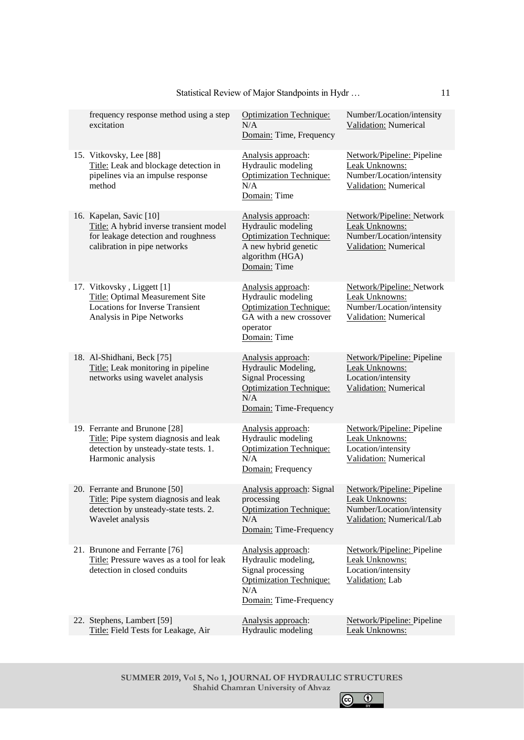| frequency response method using a step<br>excitation                                                                                      | <b>Optimization Technique:</b><br>N/A<br>Domain: Time, Frequency                                                                         | Number/Location/intensity<br>Validation: Numerical                                                            |
|-------------------------------------------------------------------------------------------------------------------------------------------|------------------------------------------------------------------------------------------------------------------------------------------|---------------------------------------------------------------------------------------------------------------|
| 15. Vitkovsky, Lee [88]<br>Title: Leak and blockage detection in<br>pipelines via an impulse response<br>method                           | Analysis approach:<br>Hydraulic modeling<br><b>Optimization Technique:</b><br>N/A<br>Domain: Time                                        | Network/Pipeline: Pipeline<br>Leak Unknowns:<br>Number/Location/intensity<br>Validation: Numerical            |
| 16. Kapelan, Savic [10]<br>Title: A hybrid inverse transient model<br>for leakage detection and roughness<br>calibration in pipe networks | Analysis approach:<br>Hydraulic modeling<br><b>Optimization Technique:</b><br>A new hybrid genetic<br>algorithm (HGA)<br>Domain: Time    | Network/Pipeline: Network<br>Leak Unknowns:<br>Number/Location/intensity<br>Validation: Numerical             |
| 17. Vitkovsky, Liggett [1]<br>Title: Optimal Measurement Site<br><b>Locations for Inverse Transient</b><br>Analysis in Pipe Networks      | Analysis approach:<br>Hydraulic modeling<br><b>Optimization Technique:</b><br>GA with a new crossover<br>operator<br>Domain: Time        | Network/Pipeline: Network<br>Leak Unknowns:<br>Number/Location/intensity<br>Validation: Numerical             |
| 18. Al-Shidhani, Beck [75]<br>Title: Leak monitoring in pipeline<br>networks using wavelet analysis                                       | Analysis approach:<br>Hydraulic Modeling,<br><b>Signal Processing</b><br><b>Optimization Technique:</b><br>N/A<br>Domain: Time-Frequency | Network/Pipeline: Pipeline<br>Leak Unknowns:<br>Location/intensity<br>Validation: Numerical                   |
| 19. Ferrante and Brunone [28]<br>Title: Pipe system diagnosis and leak<br>detection by unsteady-state tests. 1.<br>Harmonic analysis      | Analysis approach:<br>Hydraulic modeling<br><b>Optimization Technique:</b><br>N/A<br>Domain: Frequency                                   | Network/Pipeline: Pipeline<br>Leak Unknowns:<br>Location/intensity<br><b>Validation:</b> Numerical            |
| 20. Ferrante and Brunone [50]<br>Title: Pipe system diagnosis and leak<br>detection by unsteady-state tests. 2.<br>Wavelet analysis       | Analysis approach: Signal<br>processing<br><b>Optimization Technique:</b><br>N/A<br>Domain: Time-Frequency                               | Network/Pipeline: Pipeline<br><b>Leak Unknowns:</b><br>Number/Location/intensity<br>Validation: Numerical/Lab |
| 21. Brunone and Ferrante [76]<br>Title: Pressure waves as a tool for leak<br>detection in closed conduits                                 | Analysis approach:<br>Hydraulic modeling,<br>Signal processing<br><b>Optimization Technique:</b><br>N/A<br>Domain: Time-Frequency        | Network/Pipeline: Pipeline<br>Leak Unknowns:<br>Location/intensity<br>Validation: Lab                         |
| 22. Stephens, Lambert [59]<br>Title: Field Tests for Leakage, Air                                                                         | Analysis approach:<br>Hydraulic modeling                                                                                                 | Network/Pipeline: Pipeline<br>Leak Unknowns:                                                                  |
|                                                                                                                                           |                                                                                                                                          |                                                                                                               |

**SUMMER 2019, Vol 5, No 1, JOURNAL OF HYDRAULIC STRUCTURES Shahid Chamran University of Ahvaz**

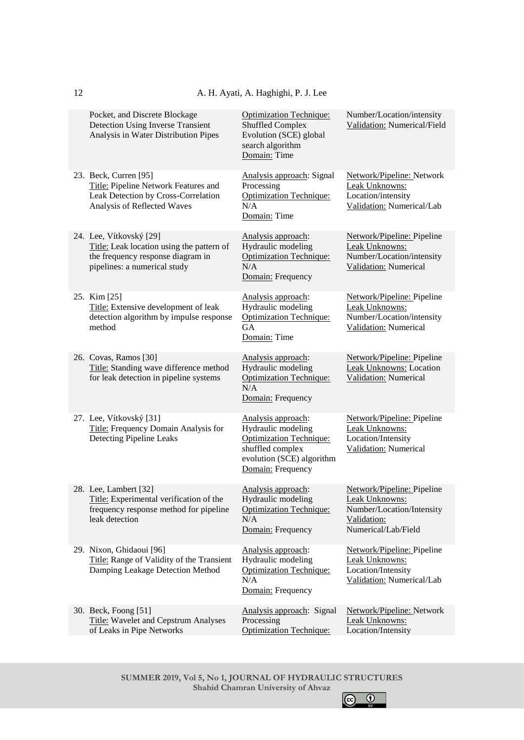| Pocket, and Discrete Blockage<br><b>Detection Using Inverse Transient</b><br>Analysis in Water Distribution Pipes                         | <b>Optimization Technique:</b><br><b>Shuffled Complex</b><br>Evolution (SCE) global<br>search algorithm<br>Domain: Time                          | Number/Location/intensity<br>Validation: Numerical/Field                                                        |
|-------------------------------------------------------------------------------------------------------------------------------------------|--------------------------------------------------------------------------------------------------------------------------------------------------|-----------------------------------------------------------------------------------------------------------------|
| 23. Beck, Curren [95]<br>Title: Pipeline Network Features and<br>Leak Detection by Cross-Correlation<br>Analysis of Reflected Waves       | Analysis approach: Signal<br>Processing<br><b>Optimization Technique:</b><br>N/A<br>Domain: Time                                                 | Network/Pipeline: Network<br>Leak Unknowns:<br>Location/intensity<br>Validation: Numerical/Lab                  |
| 24. Lee, Vítkovský [29]<br>Title: Leak location using the pattern of<br>the frequency response diagram in<br>pipelines: a numerical study | Analysis approach:<br>Hydraulic modeling<br><b>Optimization Technique:</b><br>N/A<br>Domain: Frequency                                           | Network/Pipeline: Pipeline<br>Leak Unknowns:<br>Number/Location/intensity<br><b>Validation:</b> Numerical       |
| 25. Kim [25]<br>Title: Extensive development of leak<br>detection algorithm by impulse response<br>method                                 | Analysis approach:<br>Hydraulic modeling<br><b>Optimization Technique:</b><br><b>GA</b><br>Domain: Time                                          | Network/Pipeline: Pipeline<br>Leak Unknowns:<br>Number/Location/intensity<br>Validation: Numerical              |
| 26. Covas, Ramos [30]<br>Title: Standing wave difference method<br>for leak detection in pipeline systems                                 | Analysis approach:<br>Hydraulic modeling<br><b>Optimization Technique:</b><br>N/A<br>Domain: Frequency                                           | Network/Pipeline: Pipeline<br>Leak Unknowns: Location<br>Validation: Numerical                                  |
| 27. Lee, Vítkovský [31]<br>Title: Frequency Domain Analysis for<br>Detecting Pipeline Leaks                                               | Analysis approach:<br>Hydraulic modeling<br><b>Optimization Technique:</b><br>shuffled complex<br>evolution (SCE) algorithm<br>Domain: Frequency | Network/Pipeline: Pipeline<br>Leak Unknowns:<br>Location/Intensity<br><b>Validation:</b> Numerical              |
| 28. Lee, Lambert [32]<br>Title: Experimental verification of the<br>frequency response method for pipeline<br>leak detection              | Analysis approach:<br>Hydraulic modeling<br><b>Optimization Technique:</b><br>N/A<br>Domain: Frequency                                           | Network/Pipeline: Pipeline<br>Leak Unknowns:<br>Number/Location/Intensity<br>Validation:<br>Numerical/Lab/Field |
| 29. Nixon, Ghidaoui [96]<br>Title: Range of Validity of the Transient<br>Damping Leakage Detection Method                                 | Analysis approach:<br>Hydraulic modeling<br><b>Optimization Technique:</b><br>N/A<br>Domain: Frequency                                           | Network/Pipeline: Pipeline<br>Leak Unknowns:<br>Location/Intensity<br>Validation: Numerical/Lab                 |
| 30. Beck, Foong [51]<br><b>Title:</b> Wavelet and Cepstrum Analyses<br>of Leaks in Pipe Networks                                          | Analysis approach: Signal<br>Processing<br><b>Optimization Technique:</b>                                                                        | Network/Pipeline: Network<br>Leak Unknowns:<br>Location/Intensity                                               |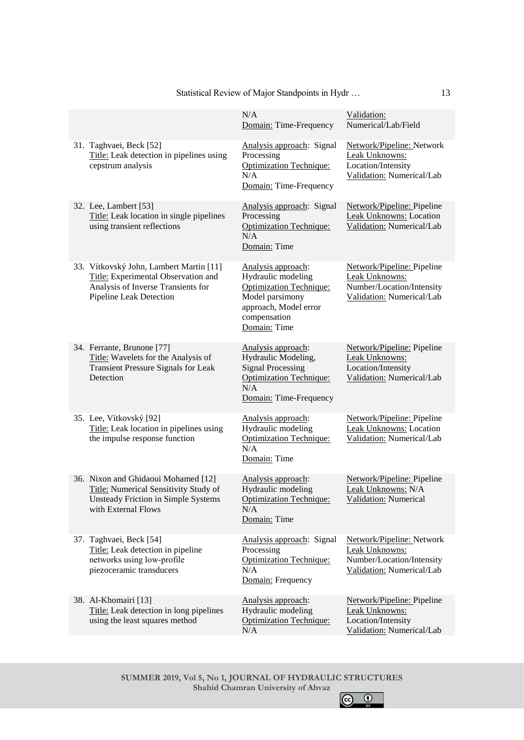|                                                                                                                                                 | Domain: Time-Frequency                                                                                                                                 | Numerical/Lab/Field                                                                                          |
|-------------------------------------------------------------------------------------------------------------------------------------------------|--------------------------------------------------------------------------------------------------------------------------------------------------------|--------------------------------------------------------------------------------------------------------------|
| 31. Taghvaei, Beck [52]<br>Title: Leak detection in pipelines using<br>cepstrum analysis                                                        | Analysis approach: Signal<br>Processing<br><b>Optimization Technique:</b><br>N/A<br>Domain: Time-Frequency                                             | Network/Pipeline: Network<br>Leak Unknowns:<br>Location/Intensity<br>Validation: Numerical/Lab               |
| 32. Lee, Lambert [53]<br>Title: Leak location in single pipelines<br>using transient reflections                                                | Analysis approach: Signal<br>Processing<br><b>Optimization Technique:</b><br>N/A<br>Domain: Time                                                       | Network/Pipeline: Pipeline<br><b>Leak Unknowns: Location</b><br>Validation: Numerical/Lab                    |
| 33. Vítkovský John, Lambert Martin [11]<br>Title: Experimental Observation and<br>Analysis of Inverse Transients for<br>Pipeline Leak Detection | Analysis approach:<br>Hydraulic modeling<br><b>Optimization Technique:</b><br>Model parsimony<br>approach, Model error<br>compensation<br>Domain: Time | Network/Pipeline: Pipeline<br>Leak Unknowns:<br>Number/Location/Intensity<br>Validation: Numerical/Lab       |
| 34. Ferrante, Brunone [77]<br>Title: Wavelets for the Analysis of<br><b>Transient Pressure Signals for Leak</b><br>Detection                    | Analysis approach:<br>Hydraulic Modeling,<br><b>Signal Processing</b><br><b>Optimization Technique:</b><br>N/A<br>Domain: Time-Frequency               | Network/Pipeline: Pipeline<br>Leak Unknowns:<br>Location/Intensity<br>Validation: Numerical/Lab              |
| 35. Lee, Vítkovský [92]<br>Title: Leak location in pipelines using<br>the impulse response function                                             | Analysis approach:<br>Hydraulic modeling<br><b>Optimization Technique:</b><br>N/A<br>Domain: Time                                                      | Network/Pipeline: Pipeline<br>Leak Unknowns: Location<br>Validation: Numerical/Lab                           |
| 36. Nixon and Ghidaoui Mohamed [12]<br>Title: Numerical Sensitivity Study of<br>Unsteady Friction in Simple Systems<br>with External Flows      | Analysis approach:<br>Hydraulic modeling<br><b>Optimization Technique:</b><br>N/A<br>Domain: Time                                                      | Network/Pipeline: Pipeline<br>Leak Unknowns: N/A<br>Validation: Numerical                                    |
| 37. Taghvaei, Beck [54]<br>Title: Leak detection in pipeline<br>networks using low-profile<br>piezoceramic transducers                          | Analysis approach: Signal<br>Processing<br><b>Optimization Technique:</b><br>N/A<br>Domain: Frequency                                                  | Network/Pipeline: Network<br><b>Leak Unknowns:</b><br>Number/Location/Intensity<br>Validation: Numerical/Lab |
| 38. Al-Khomairi [13]<br>Title: Leak detection in long pipelines<br>using the least squares method                                               | Analysis approach:<br>Hydraulic modeling<br><b>Optimization Technique:</b>                                                                             | Network/Pipeline: Pipeline<br>Leak Unknowns:<br>Location/Intensity                                           |

# Statistical Review of Major Standpoints in Hydr …

 $N/A$ 

**SUMMER 2019, Vol 5, No 1, JOURNAL OF HYDRAULIC STRUCTURES Shahid Chamran University of Ahvaz**

 $N/A$ 

Validation:



Validation: Numerical/Lab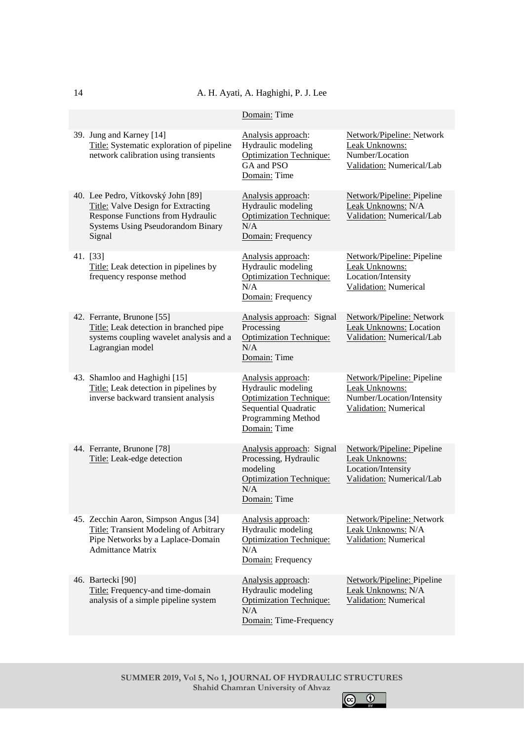# A. H. Ayati, A. Haghighi, P. J. Lee

|                                                                                                                                                                     | Domain: Time                                                                                                                             |                                                                                                    |
|---------------------------------------------------------------------------------------------------------------------------------------------------------------------|------------------------------------------------------------------------------------------------------------------------------------------|----------------------------------------------------------------------------------------------------|
| 39. Jung and Karney [14]<br>Title: Systematic exploration of pipeline<br>network calibration using transients                                                       | Analysis approach:<br>Hydraulic modeling<br><b>Optimization Technique:</b><br>GA and PSO<br>Domain: Time                                 | Network/Pipeline: Network<br>Leak Unknowns:<br>Number/Location<br>Validation: Numerical/Lab        |
| 40. Lee Pedro, Vítkovský John [89]<br>Title: Valve Design for Extracting<br>Response Functions from Hydraulic<br><b>Systems Using Pseudorandom Binary</b><br>Signal | Analysis approach:<br>Hydraulic modeling<br><b>Optimization Technique:</b><br>N/A<br>Domain: Frequency                                   | Network/Pipeline: Pipeline<br>Leak Unknowns: N/A<br>Validation: Numerical/Lab                      |
| 41. [33]<br>Title: Leak detection in pipelines by<br>frequency response method                                                                                      | Analysis approach:<br>Hydraulic modeling<br><b>Optimization Technique:</b><br>N/A<br>Domain: Frequency                                   | Network/Pipeline: Pipeline<br>Leak Unknowns:<br>Location/Intensity<br><b>Validation:</b> Numerical |
| 42. Ferrante, Brunone [55]<br>Title: Leak detection in branched pipe<br>systems coupling wavelet analysis and a<br>Lagrangian model                                 | Analysis approach: Signal<br>Processing<br><b>Optimization Technique:</b><br>N/A<br>Domain: Time                                         | Network/Pipeline: Network<br>Leak Unknowns: Location<br>Validation: Numerical/Lab                  |
| 43. Shamloo and Haghighi [15]<br>Title: Leak detection in pipelines by<br>inverse backward transient analysis                                                       | Analysis approach:<br>Hydraulic modeling<br><b>Optimization Technique:</b><br>Sequential Quadratic<br>Programming Method<br>Domain: Time | Network/Pipeline: Pipeline<br>Leak Unknowns:<br>Number/Location/Intensity<br>Validation: Numerical |
| 44. Ferrante, Brunone [78]<br>Title: Leak-edge detection                                                                                                            | Analysis approach: Signal<br>Processing, Hydraulic<br>modeling<br><b>Optimization Technique:</b><br>N/A<br>Domain: Time                  | Network/Pipeline: Pipeline<br>Leak Unknowns:<br>Location/Intensity<br>Validation: Numerical/Lab    |
| 45. Zecchin Aaron, Simpson Angus [34]<br>Title: Transient Modeling of Arbitrary<br>Pipe Networks by a Laplace-Domain<br><b>Admittance Matrix</b>                    | Analysis approach:<br>Hydraulic modeling<br><b>Optimization Technique:</b><br>N/A<br>Domain: Frequency                                   | Network/Pipeline: Network<br>Leak Unknowns: N/A<br>Validation: Numerical                           |
| 46. Bartecki [90]<br>Title: Frequency-and time-domain<br>analysis of a simple pipeline system                                                                       | Analysis approach:<br>Hydraulic modeling<br><b>Optimization Technique:</b><br>N/A<br>Domain: Time-Frequency                              | Network/Pipeline: Pipeline<br>Leak Unknowns: N/A<br>Validation: Numerical                          |

**SUMMER 2019, Vol 5, No 1, JOURNAL OF HYDRAULIC STRUCTURES Shahid Chamran University of Ahvaz**  $\bigodot$   $\bigodot$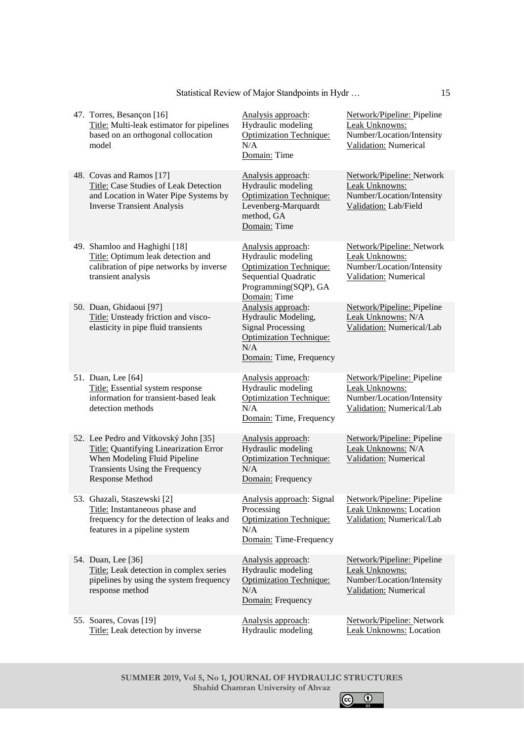| 47. Torres, Besançon [16]<br>Title: Multi-leak estimator for pipelines<br>based on an orthogonal collocation<br>model                                                | Analysis approach:<br>Hydraulic modeling<br><b>Optimization Technique:</b><br>N/A<br>Domain: Time                                          | Network/Pipeline: Pipeline<br>Leak Unknowns:<br>Number/Location/Intensity<br>Validation: Numerical     |
|----------------------------------------------------------------------------------------------------------------------------------------------------------------------|--------------------------------------------------------------------------------------------------------------------------------------------|--------------------------------------------------------------------------------------------------------|
| 48. Covas and Ramos [17]<br>Title: Case Studies of Leak Detection<br>and Location in Water Pipe Systems by<br><b>Inverse Transient Analysis</b>                      | Analysis approach:<br>Hydraulic modeling<br><b>Optimization Technique:</b><br>Levenberg-Marquardt<br>method, GA<br>Domain: Time            | Network/Pipeline: Network<br>Leak Unknowns:<br>Number/Location/Intensity<br>Validation: Lab/Field      |
| 49. Shamloo and Haghighi [18]<br>Title: Optimum leak detection and<br>calibration of pipe networks by inverse<br>transient analysis                                  | Analysis approach:<br>Hydraulic modeling<br><b>Optimization Technique:</b><br>Sequential Quadratic<br>Programming(SQP), GA<br>Domain: Time | Network/Pipeline: Network<br>Leak Unknowns:<br>Number/Location/Intensity<br>Validation: Numerical      |
| 50. Duan, Ghidaoui [97]<br>Title: Unsteady friction and visco-<br>elasticity in pipe fluid transients                                                                | Analysis approach:<br>Hydraulic Modeling,<br><b>Signal Processing</b><br><b>Optimization Technique:</b><br>N/A<br>Domain: Time, Frequency  | Network/Pipeline: Pipeline<br>Leak Unknowns: N/A<br>Validation: Numerical/Lab                          |
| 51. Duan, Lee [64]<br>Title: Essential system response<br>information for transient-based leak<br>detection methods                                                  | Analysis approach:<br>Hydraulic modeling<br><b>Optimization Technique:</b><br>N/A<br>Domain: Time, Frequency                               | Network/Pipeline: Pipeline<br>Leak Unknowns:<br>Number/Location/Intensity<br>Validation: Numerical/Lab |
| 52. Lee Pedro and Vítkovský John [35]<br>Title: Quantifying Linearization Error<br>When Modeling Fluid Pipeline<br>Transients Using the Frequency<br>Response Method | Analysis approach:<br>Hydraulic modeling<br><b>Optimization Technique:</b><br>N/A<br>Domain: Frequency                                     | Network/Pipeline: Pipeline<br>Leak Unknowns: N/A<br>Validation: Numerical                              |
| 53. Ghazali, Staszewski [2]<br>Title: Instantaneous phase and<br>frequency for the detection of leaks and<br>features in a pipeline system                           | Analysis approach: Signal<br>Processing<br><b>Optimization Technique:</b><br>N/A<br>Domain: Time-Frequency                                 | Network/Pipeline: Pipeline<br><b>Leak Unknowns: Location</b><br>Validation: Numerical/Lab              |
| 54. Duan, Lee [36]<br>Title: Leak detection in complex series<br>pipelines by using the system frequency<br>response method                                          | Analysis approach:<br>Hydraulic modeling<br>Optimization Technique:<br>N/A<br>Domain: Frequency                                            | Network/Pipeline: Pipeline<br>Leak Unknowns:<br>Number/Location/Intensity<br>Validation: Numerical     |
| 55. Soares, Covas [19]<br>Title: Leak detection by inverse                                                                                                           | Analysis approach:<br>Hydraulic modeling                                                                                                   | <b>Network/Pipeline: Network</b><br><b>Leak Unknowns: Location</b>                                     |

Statistical Review of Major Standpoints in Hydr …

**SUMMER 2019, Vol 5, No 1, JOURNAL OF HYDRAULIC STRUCTURES Shahid Chamran University of Ahvaz**

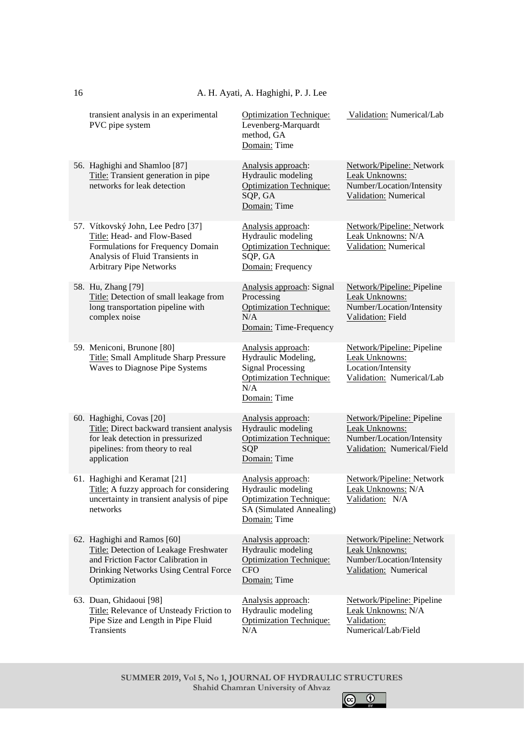| transient analysis in an experimental<br>PVC pipe system                                                                                                                    | <b>Optimization Technique:</b><br>Levenberg-Marquardt<br>method, GA<br>Domain: Time                                            | Validation: Numerical/Lab                                                                                |
|-----------------------------------------------------------------------------------------------------------------------------------------------------------------------------|--------------------------------------------------------------------------------------------------------------------------------|----------------------------------------------------------------------------------------------------------|
| 56. Haghighi and Shamloo [87]<br>Title: Transient generation in pipe<br>networks for leak detection                                                                         | Analysis approach:<br>Hydraulic modeling<br><b>Optimization Technique:</b><br>SQP, GA<br>Domain: Time                          | <b>Network/Pipeline: Network</b><br>Leak Unknowns:<br>Number/Location/Intensity<br>Validation: Numerical |
| 57. Vítkovský John, Lee Pedro [37]<br>Title: Head- and Flow-Based<br>Formulations for Frequency Domain<br>Analysis of Fluid Transients in<br><b>Arbitrary Pipe Networks</b> | Analysis approach:<br>Hydraulic modeling<br><b>Optimization Technique:</b><br>SQP, GA<br>Domain: Frequency                     | Network/Pipeline: Network<br>Leak Unknowns: N/A<br>Validation: Numerical                                 |
| 58. Hu, Zhang [79]<br>Title: Detection of small leakage from<br>long transportation pipeline with<br>complex noise                                                          | Analysis approach: Signal<br>Processing<br><b>Optimization Technique:</b><br>N/A<br>Domain: Time-Frequency                     | Network/Pipeline: Pipeline<br>Leak Unknowns:<br>Number/Location/Intensity<br>Validation: Field           |
| 59. Meniconi, Brunone [80]<br>Title: Small Amplitude Sharp Pressure<br>Waves to Diagnose Pipe Systems                                                                       | Analysis approach:<br>Hydraulic Modeling,<br><b>Signal Processing</b><br><b>Optimization Technique:</b><br>N/A<br>Domain: Time | Network/Pipeline: Pipeline<br>Leak Unknowns:<br>Location/Intensity<br>Validation: Numerical/Lab          |
| 60. Haghighi, Covas [20]<br>Title: Direct backward transient analysis<br>for leak detection in pressurized<br>pipelines: from theory to real<br>application                 | Analysis approach:<br>Hydraulic modeling<br><b>Optimization Technique:</b><br>SQP<br>Domain: Time                              | Network/Pipeline: Pipeline<br>Leak Unknowns:<br>Number/Location/Intensity<br>Validation: Numerical/Field |
| 61. Haghighi and Keramat [21]<br>Title: A fuzzy approach for considering<br>uncertainty in transient analysis of pipe<br>networks                                           | Analysis approach:<br>Hydraulic modeling<br><b>Optimization Technique:</b><br>SA (Simulated Annealing)<br>Domain: Time         | Network/Pipeline: Network<br>Leak Unknowns: N/A<br>Validation: N/A                                       |
| 62. Haghighi and Ramos [60]<br>Title: Detection of Leakage Freshwater<br>and Friction Factor Calibration in<br>Drinking Networks Using Central Force<br>Optimization        | Analysis approach:<br>Hydraulic modeling<br><b>Optimization Technique:</b><br><b>CFO</b><br>Domain: Time                       | Network/Pipeline: Network<br>Leak Unknowns:<br>Number/Location/Intensity<br>Validation: Numerical        |
| 63. Duan, Ghidaoui [98]<br>Title: Relevance of Unsteady Friction to<br>Pipe Size and Length in Pipe Fluid<br>Transients                                                     | Analysis approach:<br>Hydraulic modeling<br><b>Optimization Technique:</b><br>N/A                                              | Network/Pipeline: Pipeline<br>Leak Unknowns: N/A<br>Validation:<br>Numerical/Lab/Field                   |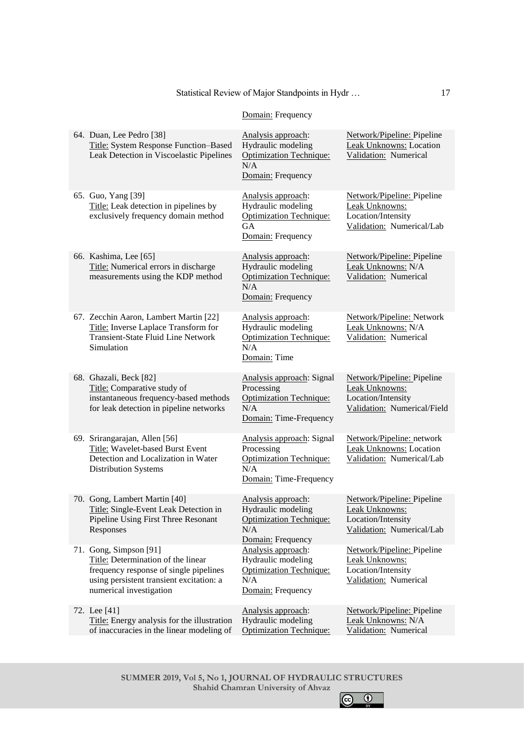# Statistical Review of Major Standpoints in Hydr …

# Domain: Frequency

| 64. Duan, Lee Pedro [38]<br>Title: System Response Function-Based<br>Leak Detection in Viscoelastic Pipelines                                                                 | Analysis approach:<br>Hydraulic modeling<br><b>Optimization Technique:</b><br>N/A<br>Domain: Frequency       | Network/Pipeline: Pipeline<br>Leak Unknowns: Location<br>Validation: Numerical                    |
|-------------------------------------------------------------------------------------------------------------------------------------------------------------------------------|--------------------------------------------------------------------------------------------------------------|---------------------------------------------------------------------------------------------------|
| 65. Guo, Yang [39]<br>Title: Leak detection in pipelines by<br>exclusively frequency domain method                                                                            | Analysis approach:<br>Hydraulic modeling<br><b>Optimization Technique:</b><br><b>GA</b><br>Domain: Frequency | Network/Pipeline: Pipeline<br>Leak Unknowns:<br>Location/Intensity<br>Validation: Numerical/Lab   |
| 66. Kashima, Lee [65]<br>Title: Numerical errors in discharge<br>measurements using the KDP method                                                                            | Analysis approach:<br>Hydraulic modeling<br><b>Optimization Technique:</b><br>N/A<br>Domain: Frequency       | Network/Pipeline: Pipeline<br>Leak Unknowns: N/A<br>Validation: Numerical                         |
| 67. Zecchin Aaron, Lambert Martin [22]<br>Title: Inverse Laplace Transform for<br><b>Transient-State Fluid Line Network</b><br>Simulation                                     | Analysis approach:<br>Hydraulic modeling<br><b>Optimization Technique:</b><br>N/A<br>Domain: Time            | Network/Pipeline: Network<br>Leak Unknowns: N/A<br>Validation: Numerical                          |
| 68. Ghazali, Beck [82]<br>Title: Comparative study of<br>instantaneous frequency-based methods<br>for leak detection in pipeline networks                                     | Analysis approach: Signal<br>Processing<br><b>Optimization Technique:</b><br>N/A<br>Domain: Time-Frequency   | Network/Pipeline: Pipeline<br>Leak Unknowns:<br>Location/Intensity<br>Validation: Numerical/Field |
| 69. Srirangarajan, Allen [56]<br>Title: Wavelet-based Burst Event<br>Detection and Localization in Water<br>Distribution Systems                                              | Analysis approach: Signal<br>Processing<br><b>Optimization Technique:</b><br>N/A<br>Domain: Time-Frequency   | Network/Pipeline: network<br><b>Leak Unknowns: Location</b><br>Validation: Numerical/Lab          |
| 70. Gong, Lambert Martin [40]<br>Title: Single-Event Leak Detection in<br>Pipeline Using First Three Resonant<br>Responses                                                    | Analysis approach:<br>Hydraulic modeling<br><b>Optimization Technique:</b><br>N/A<br>Domain: Frequency       | Network/Pipeline: Pipeline<br>Leak Unknowns:<br>Location/Intensity<br>Validation: Numerical/Lab   |
| 71. Gong, Simpson [91]<br>Title: Determination of the linear<br>frequency response of single pipelines<br>using persistent transient excitation: a<br>numerical investigation | Analysis approach:<br>Hydraulic modeling<br><b>Optimization Technique:</b><br>N/A<br>Domain: Frequency       | Network/Pipeline: Pipeline<br>Leak Unknowns:<br>Location/Intensity<br>Validation: Numerical       |
| 72. Lee [41]<br>Title: Energy analysis for the illustration<br>of inaccuracies in the linear modeling of                                                                      | Analysis approach:<br>Hydraulic modeling<br><b>Optimization Technique:</b>                                   | Network/Pipeline: Pipeline<br>Leak Unknowns: N/A<br>Validation: Numerical                         |
|                                                                                                                                                                               |                                                                                                              |                                                                                                   |

**SUMMER 2019, Vol 5, No 1, JOURNAL OF HYDRAULIC STRUCTURES Shahid Chamran University of Ahvaz**

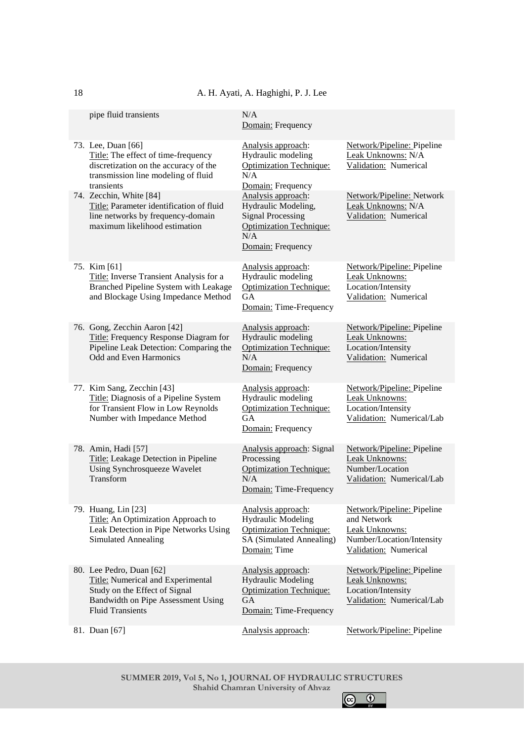A. H. Ayati, A. Haghighi, P. J. Lee

| pipe fluid transients                                                                                                                                           | N/A<br>Domain: Frequency                                                                                                            |                                                                                                                   |
|-----------------------------------------------------------------------------------------------------------------------------------------------------------------|-------------------------------------------------------------------------------------------------------------------------------------|-------------------------------------------------------------------------------------------------------------------|
| 73. Lee, Duan [66]<br>Title: The effect of time-frequency<br>discretization on the accuracy of the<br>transmission line modeling of fluid<br>transients         | Analysis approach:<br>Hydraulic modeling<br><b>Optimization Technique:</b><br>N/A<br>Domain: Frequency                              | Network/Pipeline: Pipeline<br>Leak Unknowns: N/A<br>Validation: Numerical                                         |
| 74. Zecchin, White [84]<br>Title: Parameter identification of fluid<br>line networks by frequency-domain<br>maximum likelihood estimation                       | Analysis approach:<br>Hydraulic Modeling,<br><b>Signal Processing</b><br><b>Optimization Technique:</b><br>N/A<br>Domain: Frequency | Network/Pipeline: Network<br>Leak Unknowns: N/A<br>Validation: Numerical                                          |
| 75. Kim [61]<br>Title: Inverse Transient Analysis for a<br>Branched Pipeline System with Leakage<br>and Blockage Using Impedance Method                         | Analysis approach:<br>Hydraulic modeling<br><b>Optimization Technique:</b><br>GA<br>Domain: Time-Frequency                          | Network/Pipeline: Pipeline<br>Leak Unknowns:<br>Location/Intensity<br>Validation: Numerical                       |
| 76. Gong, Zecchin Aaron [42]<br>Title: Frequency Response Diagram for<br>Pipeline Leak Detection: Comparing the<br>Odd and Even Harmonics                       | Analysis approach:<br>Hydraulic modeling<br><b>Optimization Technique:</b><br>N/A<br>Domain: Frequency                              | Network/Pipeline: Pipeline<br>Leak Unknowns:<br>Location/Intensity<br>Validation: Numerical                       |
| 77. Kim Sang, Zecchin [43]<br>Title: Diagnosis of a Pipeline System<br>for Transient Flow in Low Reynolds<br>Number with Impedance Method                       | Analysis approach:<br>Hydraulic modeling<br><b>Optimization Technique:</b><br><b>GA</b><br>Domain: Frequency                        | Network/Pipeline: Pipeline<br>Leak Unknowns:<br>Location/Intensity<br>Validation: Numerical/Lab                   |
| 78. Amin, Hadi [57]<br>Title: Leakage Detection in Pipeline<br>Using Synchrosqueeze Wavelet<br>Transform                                                        | Analysis approach: Signal<br>Processing<br><b>Optimization Technique:</b><br>N/A<br>Domain: Time-Frequency                          | Network/Pipeline: Pipeline<br>Leak Unknowns:<br>Number/Location<br>Validation: Numerical/Lab                      |
| 79. Huang, Lin [23]<br>Title: An Optimization Approach to<br>Leak Detection in Pipe Networks Using<br><b>Simulated Annealing</b>                                | Analysis approach:<br><b>Hydraulic Modeling</b><br><b>Optimization Technique:</b><br>SA (Simulated Annealing)<br>Domain: Time       | Network/Pipeline: Pipeline<br>and Network<br>Leak Unknowns:<br>Number/Location/Intensity<br>Validation: Numerical |
| 80. Lee Pedro, Duan [62]<br>Title: Numerical and Experimental<br>Study on the Effect of Signal<br>Bandwidth on Pipe Assessment Using<br><b>Fluid Transients</b> | Analysis approach:<br><b>Hydraulic Modeling</b><br><b>Optimization Technique:</b><br><b>GA</b><br>Domain: Time-Frequency            | Network/Pipeline: Pipeline<br>Leak Unknowns:<br>Location/Intensity<br>Validation: Numerical/Lab                   |
| 81. Duan [67]                                                                                                                                                   | Analysis approach:                                                                                                                  | Network/Pipeline: Pipeline                                                                                        |

**SUMMER 2019, Vol 5, No 1, JOURNAL OF HYDRAULIC STRUCTURES Shahid Chamran University of Ahvaz**  $\bigodot$   $\bigodot$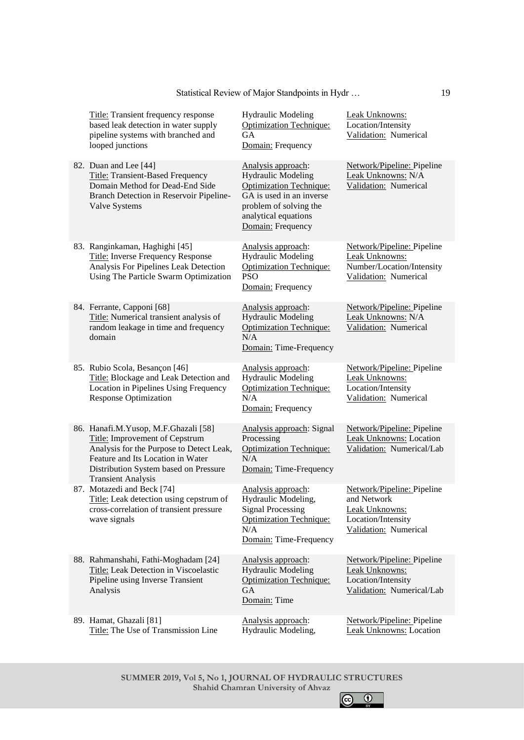| <b>Title:</b> Transient frequency response<br>based leak detection in water supply<br>pipeline systems with branched and<br>looped junctions                                                                                  | <b>Hydraulic Modeling</b><br><b>Optimization Technique:</b><br><b>GA</b><br>Domain: Frequency                                                                                        | Leak Unknowns:<br>Location/Intensity<br>Validation: Numerical                                              |
|-------------------------------------------------------------------------------------------------------------------------------------------------------------------------------------------------------------------------------|--------------------------------------------------------------------------------------------------------------------------------------------------------------------------------------|------------------------------------------------------------------------------------------------------------|
| 82. Duan and Lee [44]<br><b>Title: Transient-Based Frequency</b><br>Domain Method for Dead-End Side<br>Branch Detection in Reservoir Pipeline-<br><b>Valve Systems</b>                                                        | Analysis approach:<br><b>Hydraulic Modeling</b><br><b>Optimization Technique:</b><br>GA is used in an inverse<br>problem of solving the<br>analytical equations<br>Domain: Frequency | Network/Pipeline: Pipeline<br>Leak Unknowns: N/A<br>Validation: Numerical                                  |
| 83. Ranginkaman, Haghighi [45]<br>Title: Inverse Frequency Response<br>Analysis For Pipelines Leak Detection<br>Using The Particle Swarm Optimization                                                                         | Analysis approach:<br><b>Hydraulic Modeling</b><br><b>Optimization Technique:</b><br><b>PSO</b><br>Domain: Frequency                                                                 | Network/Pipeline: Pipeline<br>Leak Unknowns:<br>Number/Location/Intensity<br>Validation: Numerical         |
| 84. Ferrante, Capponi [68]<br>Title: Numerical transient analysis of<br>random leakage in time and frequency<br>domain                                                                                                        | Analysis approach:<br><b>Hydraulic Modeling</b><br><b>Optimization Technique:</b><br>N/A<br>Domain: Time-Frequency                                                                   | Network/Pipeline: Pipeline<br>Leak Unknowns: N/A<br>Validation: Numerical                                  |
| 85. Rubio Scola, Besançon [46]<br>Title: Blockage and Leak Detection and<br>Location in Pipelines Using Frequency<br><b>Response Optimization</b>                                                                             | Analysis approach:<br><b>Hydraulic Modeling</b><br><b>Optimization Technique:</b><br>N/A<br>Domain: Frequency                                                                        | Network/Pipeline: Pipeline<br>Leak Unknowns:<br>Location/Intensity<br>Validation: Numerical                |
| 86. Hanafi.M.Yusop, M.F.Ghazali [58]<br>Title: Improvement of Cepstrum<br>Analysis for the Purpose to Detect Leak,<br>Feature and Its Location in Water<br>Distribution System based on Pressure<br><b>Transient Analysis</b> | Analysis approach: Signal<br>Processing<br><b>Optimization Technique:</b><br>N/A<br>Domain: Time-Frequency                                                                           | Network/Pipeline: Pipeline<br>Leak Unknowns: Location<br>Validation: Numerical/Lab                         |
| 87. Motazedi and Beck [74]<br>Title: Leak detection using cepstrum of<br>cross-correlation of transient pressure<br>wave signals                                                                                              | Analysis approach:<br>Hydraulic Modeling,<br><b>Signal Processing</b><br>Optimization Technique:<br>N/A<br>Domain: Time-Frequency                                                    | Network/Pipeline: Pipeline<br>and Network<br>Leak Unknowns:<br>Location/Intensity<br>Validation: Numerical |
| 88. Rahmanshahi, Fathi-Moghadam [24]<br>Title: Leak Detection in Viscoelastic<br>Pipeline using Inverse Transient<br>Analysis                                                                                                 | Analysis approach:<br><b>Hydraulic Modeling</b><br><b>Optimization Technique:</b><br>GA<br>Domain: Time                                                                              | Network/Pipeline: Pipeline<br>Leak Unknowns:<br>Location/Intensity<br>Validation: Numerical/Lab            |
| 89. Hamat, Ghazali [81]<br>Title: The Use of Transmission Line                                                                                                                                                                | Analysis approach:<br>Hydraulic Modeling,                                                                                                                                            | Network/Pipeline: Pipeline<br><b>Leak Unknowns: Location</b>                                               |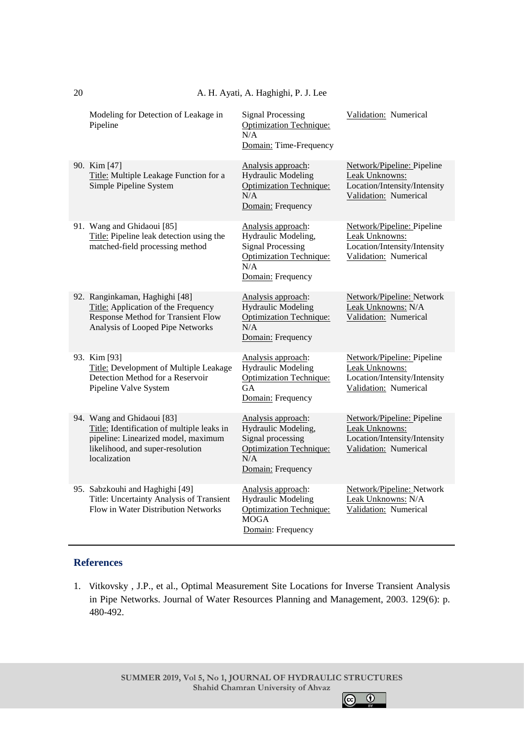|  |  |  |  | A. H. Ayati, A. Haghighi, P. J. Lee |  |  |  |
|--|--|--|--|-------------------------------------|--|--|--|
|--|--|--|--|-------------------------------------|--|--|--|

| Modeling for Detection of Leakage in<br>Pipeline                                                                                                                    | <b>Signal Processing</b><br><b>Optimization Technique:</b><br>N/A<br>Domain: Time-Frequency                                  | Validation: Numerical                                                                                 |
|---------------------------------------------------------------------------------------------------------------------------------------------------------------------|------------------------------------------------------------------------------------------------------------------------------|-------------------------------------------------------------------------------------------------------|
| 90. Kim [47]<br>Title: Multiple Leakage Function for a<br>Simple Pipeline System                                                                                    | Analysis approach:<br><b>Hydraulic Modeling</b><br><b>Optimization Technique:</b><br>N/A<br>Domain: Frequency                | Network/Pipeline: Pipeline<br>Leak Unknowns:<br>Location/Intensity/Intensity<br>Validation: Numerical |
| 91. Wang and Ghidaoui [85]<br>Title: Pipeline leak detection using the<br>matched-field processing method                                                           | Analysis approach:<br>Hydraulic Modeling,<br><b>Signal Processing</b><br>Optimization Technique:<br>N/A<br>Domain: Frequency | Network/Pipeline: Pipeline<br>Leak Unknowns:<br>Location/Intensity/Intensity<br>Validation: Numerical |
| 92. Ranginkaman, Haghighi [48]<br>Title: Application of the Frequency<br><b>Response Method for Transient Flow</b><br>Analysis of Looped Pipe Networks              | Analysis approach:<br><b>Hydraulic Modeling</b><br><b>Optimization Technique:</b><br>N/A<br>Domain: Frequency                | Network/Pipeline: Network<br>Leak Unknowns: N/A<br>Validation: Numerical                              |
| 93. Kim [93]<br>Title: Development of Multiple Leakage<br>Detection Method for a Reservoir<br>Pipeline Valve System                                                 | Analysis approach:<br><b>Hydraulic Modeling</b><br><b>Optimization Technique:</b><br><b>GA</b><br>Domain: Frequency          | Network/Pipeline: Pipeline<br>Leak Unknowns:<br>Location/Intensity/Intensity<br>Validation: Numerical |
| 94. Wang and Ghidaoui [83]<br>Title: Identification of multiple leaks in<br>pipeline: Linearized model, maximum<br>likelihood, and super-resolution<br>localization | Analysis approach:<br>Hydraulic Modeling,<br>Signal processing<br><b>Optimization Technique:</b><br>N/A<br>Domain: Frequency | Network/Pipeline: Pipeline<br>Leak Unknowns:<br>Location/Intensity/Intensity<br>Validation: Numerical |
| 95. Sabzkouhi and Haghighi [49]<br>Title: Uncertainty Analysis of Transient<br>Flow in Water Distribution Networks                                                  | Analysis approach:<br><b>Hydraulic Modeling</b><br><b>Optimization Technique:</b><br><b>MOGA</b><br>Domain: Frequency        | Network/Pipeline: Network<br>Leak Unknowns: N/A<br>Validation: Numerical                              |

# **References**

20

1. Vitkovsky , J.P., et al., Optimal Measurement Site Locations for Inverse Transient Analysis in Pipe Networks. Journal of Water Resources Planning and Management, 2003. 129(6): p. 480-492.

 $\odot$  $\bullet$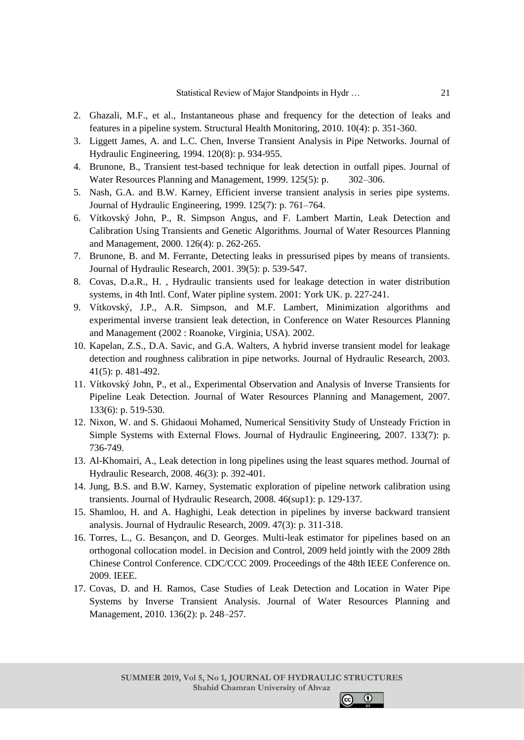- 2. Ghazali, M.F., et al., Instantaneous phase and frequency for the detection of leaks and features in a pipeline system. Structural Health Monitoring, 2010. 10(4): p. 351-360.
- 3. Liggett James, A. and L.C. Chen, Inverse Transient Analysis in Pipe Networks. Journal of Hydraulic Engineering, 1994. 120(8): p. 934-955.
- 4. Brunone, B., Transient test-based technique for leak detection in outfall pipes. Journal of Water Resources Planning and Management, 1999. 125(5): p.  $302-306$ .
- 5. Nash, G.A. and B.W. Karney, Efficient inverse transient analysis in series pipe systems. Journal of Hydraulic Engineering, 1999. 125(7): p. 761–764.
- 6. Vítkovský John, P., R. Simpson Angus, and F. Lambert Martin, Leak Detection and Calibration Using Transients and Genetic Algorithms. Journal of Water Resources Planning and Management, 2000. 126(4): p. 262-265.
- 7. Brunone, B. and M. Ferrante, Detecting leaks in pressurised pipes by means of transients. Journal of Hydraulic Research, 2001. 39(5): p. 539-547.
- 8. Covas, D.a.R., H. , Hydraulic transients used for leakage detection in water distribution systems, in 4th Intl. Conf, Water pipline system. 2001: York UK. p. 227-241.
- 9. Vítkovský, J.P., A.R. Simpson, and M.F. Lambert, Minimization algorithms and experimental inverse transient leak detection, in Conference on Water Resources Planning and Management (2002 : Roanoke, Virginia, USA). 2002.
- 10. Kapelan, Z.S., D.A. Savic, and G.A. Walters, A hybrid inverse transient model for leakage detection and roughness calibration in pipe networks. Journal of Hydraulic Research, 2003. 41(5): p. 481-492.
- 11. Vítkovský John, P., et al., Experimental Observation and Analysis of Inverse Transients for Pipeline Leak Detection. Journal of Water Resources Planning and Management, 2007. 133(6): p. 519-530.
- 12. Nixon, W. and S. Ghidaoui Mohamed, Numerical Sensitivity Study of Unsteady Friction in Simple Systems with External Flows. Journal of Hydraulic Engineering, 2007. 133(7): p. 736-749.
- 13. Al-Khomairi, A., Leak detection in long pipelines using the least squares method. Journal of Hydraulic Research, 2008. 46(3): p. 392-401.
- 14. Jung, B.S. and B.W. Karney, Systematic exploration of pipeline network calibration using transients. Journal of Hydraulic Research, 2008. 46(sup1): p. 129-137.
- 15. Shamloo, H. and A. Haghighi, Leak detection in pipelines by inverse backward transient analysis. Journal of Hydraulic Research, 2009. 47(3): p. 311-318.
- 16. Torres, L., G. Besançon, and D. Georges. Multi-leak estimator for pipelines based on an orthogonal collocation model. in Decision and Control, 2009 held jointly with the 2009 28th Chinese Control Conference. CDC/CCC 2009. Proceedings of the 48th IEEE Conference on. 2009. IEEE.
- 17. Covas, D. and H. Ramos, Case Studies of Leak Detection and Location in Water Pipe Systems by Inverse Transient Analysis. Journal of Water Resources Planning and Management, 2010. 136(2): p. 248–257.

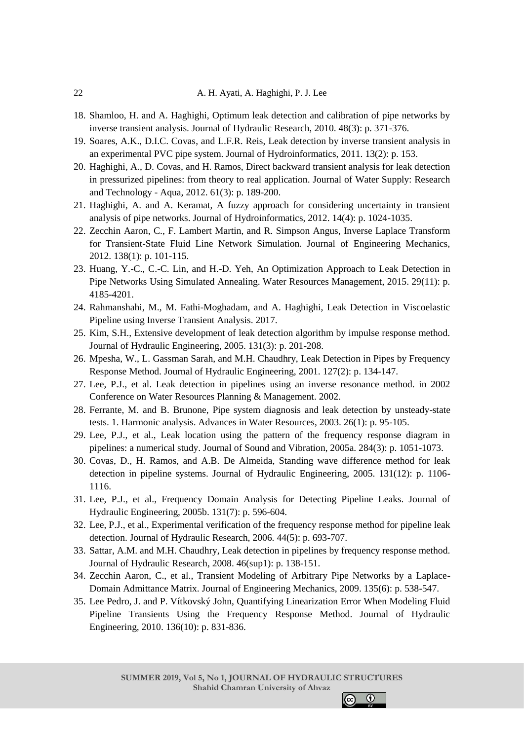- 18. Shamloo, H. and A. Haghighi, Optimum leak detection and calibration of pipe networks by inverse transient analysis. Journal of Hydraulic Research, 2010. 48(3): p. 371-376.
- 19. Soares, A.K., D.I.C. Covas, and L.F.R. Reis, Leak detection by inverse transient analysis in an experimental PVC pipe system. Journal of Hydroinformatics, 2011. 13(2): p. 153.
- 20. Haghighi, A., D. Covas, and H. Ramos, Direct backward transient analysis for leak detection in pressurized pipelines: from theory to real application. Journal of Water Supply: Research and Technology - Aqua, 2012. 61(3): p. 189-200.
- 21. Haghighi, A. and A. Keramat, A fuzzy approach for considering uncertainty in transient analysis of pipe networks. Journal of Hydroinformatics, 2012. 14(4): p. 1024-1035.
- 22. Zecchin Aaron, C., F. Lambert Martin, and R. Simpson Angus, Inverse Laplace Transform for Transient-State Fluid Line Network Simulation. Journal of Engineering Mechanics, 2012. 138(1): p. 101-115.
- 23. Huang, Y.-C., C.-C. Lin, and H.-D. Yeh, An Optimization Approach to Leak Detection in Pipe Networks Using Simulated Annealing. Water Resources Management, 2015. 29(11): p. 4185-4201.
- 24. Rahmanshahi, M., M. Fathi-Moghadam, and A. Haghighi, Leak Detection in Viscoelastic Pipeline using Inverse Transient Analysis. 2017.
- 25. Kim, S.H., Extensive development of leak detection algorithm by impulse response method. Journal of Hydraulic Engineering, 2005. 131(3): p. 201-208.
- 26. Mpesha, W., L. Gassman Sarah, and M.H. Chaudhry, Leak Detection in Pipes by Frequency Response Method. Journal of Hydraulic Engineering, 2001. 127(2): p. 134-147.
- 27. Lee, P.J., et al. Leak detection in pipelines using an inverse resonance method. in 2002 Conference on Water Resources Planning & Management. 2002.
- 28. Ferrante, M. and B. Brunone, Pipe system diagnosis and leak detection by unsteady-state tests. 1. Harmonic analysis. Advances in Water Resources, 2003. 26(1): p. 95-105.
- 29. Lee, P.J., et al., Leak location using the pattern of the frequency response diagram in pipelines: a numerical study. Journal of Sound and Vibration, 2005a. 284(3): p. 1051-1073.
- 30. Covas, D., H. Ramos, and A.B. De Almeida, Standing wave difference method for leak detection in pipeline systems. Journal of Hydraulic Engineering, 2005. 131(12): p. 1106- 1116.
- 31. Lee, P.J., et al., Frequency Domain Analysis for Detecting Pipeline Leaks. Journal of Hydraulic Engineering, 2005b. 131(7): p. 596-604.
- 32. Lee, P.J., et al., Experimental verification of the frequency response method for pipeline leak detection. Journal of Hydraulic Research, 2006. 44(5): p. 693-707.
- 33. Sattar, A.M. and M.H. Chaudhry, Leak detection in pipelines by frequency response method. Journal of Hydraulic Research, 2008. 46(sup1): p. 138-151.
- 34. Zecchin Aaron, C., et al., Transient Modeling of Arbitrary Pipe Networks by a Laplace-Domain Admittance Matrix. Journal of Engineering Mechanics, 2009. 135(6): p. 538-547.
- 35. Lee Pedro, J. and P. Vítkovský John, Quantifying Linearization Error When Modeling Fluid Pipeline Transients Using the Frequency Response Method. Journal of Hydraulic Engineering, 2010. 136(10): p. 831-836.

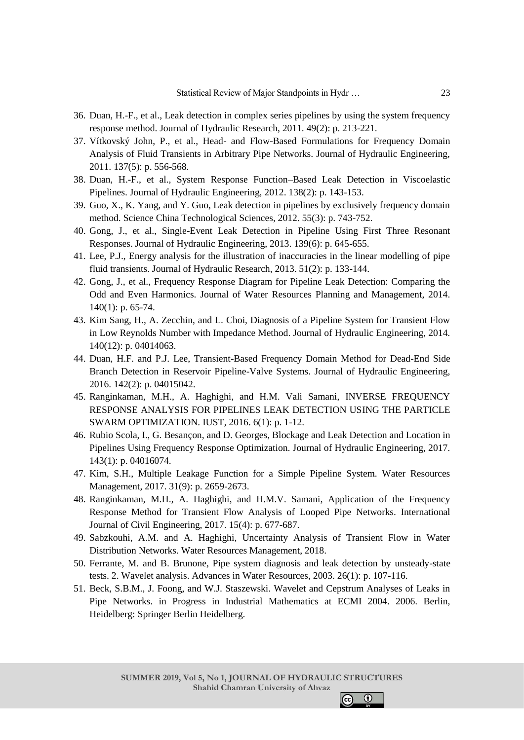- 36. Duan, H.-F., et al., Leak detection in complex series pipelines by using the system frequency response method. Journal of Hydraulic Research, 2011. 49(2): p. 213-221.
- 37. Vítkovský John, P., et al., Head- and Flow-Based Formulations for Frequency Domain Analysis of Fluid Transients in Arbitrary Pipe Networks. Journal of Hydraulic Engineering, 2011. 137(5): p. 556-568.
- 38. Duan, H.-F., et al., System Response Function–Based Leak Detection in Viscoelastic Pipelines. Journal of Hydraulic Engineering, 2012. 138(2): p. 143-153.
- 39. Guo, X., K. Yang, and Y. Guo, Leak detection in pipelines by exclusively frequency domain method. Science China Technological Sciences, 2012. 55(3): p. 743-752.
- 40. Gong, J., et al., Single-Event Leak Detection in Pipeline Using First Three Resonant Responses. Journal of Hydraulic Engineering, 2013. 139(6): p. 645-655.
- 41. Lee, P.J., Energy analysis for the illustration of inaccuracies in the linear modelling of pipe fluid transients. Journal of Hydraulic Research, 2013. 51(2): p. 133-144.
- 42. Gong, J., et al., Frequency Response Diagram for Pipeline Leak Detection: Comparing the Odd and Even Harmonics. Journal of Water Resources Planning and Management, 2014. 140(1): p. 65-74.
- 43. Kim Sang, H., A. Zecchin, and L. Choi, Diagnosis of a Pipeline System for Transient Flow in Low Reynolds Number with Impedance Method. Journal of Hydraulic Engineering, 2014. 140(12): p. 04014063.
- 44. Duan, H.F. and P.J. Lee, Transient-Based Frequency Domain Method for Dead-End Side Branch Detection in Reservoir Pipeline-Valve Systems. Journal of Hydraulic Engineering, 2016. 142(2): p. 04015042.
- 45. Ranginkaman, M.H., A. Haghighi, and H.M. Vali Samani, INVERSE FREQUENCY RESPONSE ANALYSIS FOR PIPELINES LEAK DETECTION USING THE PARTICLE SWARM OPTIMIZATION. IUST, 2016. 6(1): p. 1-12.
- 46. Rubio Scola, I., G. Besançon, and D. Georges, Blockage and Leak Detection and Location in Pipelines Using Frequency Response Optimization. Journal of Hydraulic Engineering, 2017. 143(1): p. 04016074.
- 47. Kim, S.H., Multiple Leakage Function for a Simple Pipeline System. Water Resources Management, 2017. 31(9): p. 2659-2673.
- 48. Ranginkaman, M.H., A. Haghighi, and H.M.V. Samani, Application of the Frequency Response Method for Transient Flow Analysis of Looped Pipe Networks. International Journal of Civil Engineering, 2017. 15(4): p. 677-687.
- 49. Sabzkouhi, A.M. and A. Haghighi, Uncertainty Analysis of Transient Flow in Water Distribution Networks. Water Resources Management, 2018.
- 50. Ferrante, M. and B. Brunone, Pipe system diagnosis and leak detection by unsteady-state tests. 2. Wavelet analysis. Advances in Water Resources, 2003. 26(1): p. 107-116.
- 51. Beck, S.B.M., J. Foong, and W.J. Staszewski. Wavelet and Cepstrum Analyses of Leaks in Pipe Networks. in Progress in Industrial Mathematics at ECMI 2004. 2006. Berlin, Heidelberg: Springer Berlin Heidelberg.

 $\odot$ 

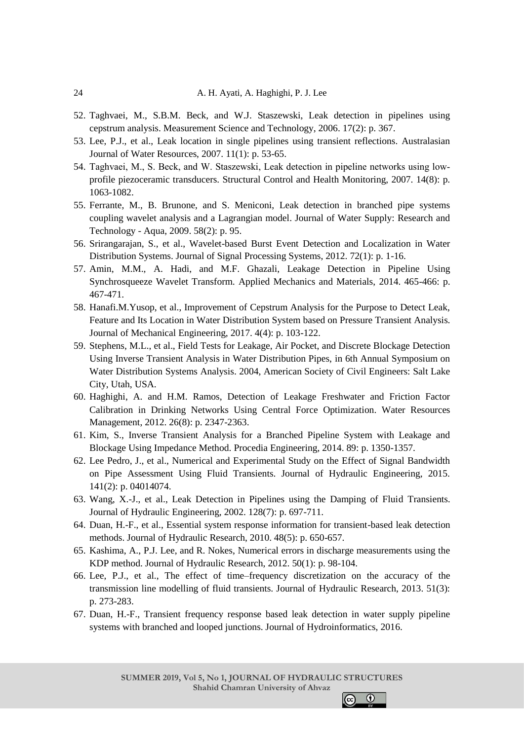- 52. Taghvaei, M., S.B.M. Beck, and W.J. Staszewski, Leak detection in pipelines using cepstrum analysis. Measurement Science and Technology, 2006. 17(2): p. 367.
- 53. Lee, P.J., et al., Leak location in single pipelines using transient reflections. Australasian Journal of Water Resources, 2007. 11(1): p. 53-65.
- 54. Taghvaei, M., S. Beck, and W. Staszewski, Leak detection in pipeline networks using low‐ profile piezoceramic transducers. Structural Control and Health Monitoring, 2007. 14(8): p. 1063-1082.
- 55. Ferrante, M., B. Brunone, and S. Meniconi, Leak detection in branched pipe systems coupling wavelet analysis and a Lagrangian model. Journal of Water Supply: Research and Technology - Aqua, 2009. 58(2): p. 95.
- 56. Srirangarajan, S., et al., Wavelet-based Burst Event Detection and Localization in Water Distribution Systems. Journal of Signal Processing Systems, 2012. 72(1): p. 1-16.
- 57. Amin, M.M., A. Hadi, and M.F. Ghazali, Leakage Detection in Pipeline Using Synchrosqueeze Wavelet Transform. Applied Mechanics and Materials, 2014. 465-466: p. 467-471.
- 58. Hanafi.M.Yusop, et al., Improvement of Cepstrum Analysis for the Purpose to Detect Leak, Feature and Its Location in Water Distribution System based on Pressure Transient Analysis. Journal of Mechanical Engineering, 2017. 4(4): p. 103-122.
- 59. Stephens, M.L., et al., Field Tests for Leakage, Air Pocket, and Discrete Blockage Detection Using Inverse Transient Analysis in Water Distribution Pipes, in 6th Annual Symposium on Water Distribution Systems Analysis. 2004, American Society of Civil Engineers: Salt Lake City, Utah, USA.
- 60. Haghighi, A. and H.M. Ramos, Detection of Leakage Freshwater and Friction Factor Calibration in Drinking Networks Using Central Force Optimization. Water Resources Management, 2012. 26(8): p. 2347-2363.
- 61. Kim, S., Inverse Transient Analysis for a Branched Pipeline System with Leakage and Blockage Using Impedance Method. Procedia Engineering, 2014. 89: p. 1350-1357.
- 62. Lee Pedro, J., et al., Numerical and Experimental Study on the Effect of Signal Bandwidth on Pipe Assessment Using Fluid Transients. Journal of Hydraulic Engineering, 2015. 141(2): p. 04014074.
- 63. Wang, X.-J., et al., Leak Detection in Pipelines using the Damping of Fluid Transients. Journal of Hydraulic Engineering, 2002. 128(7): p. 697-711.
- 64. Duan, H.-F., et al., Essential system response information for transient-based leak detection methods. Journal of Hydraulic Research, 2010. 48(5): p. 650-657.
- 65. Kashima, A., P.J. Lee, and R. Nokes, Numerical errors in discharge measurements using the KDP method. Journal of Hydraulic Research, 2012. 50(1): p. 98-104.
- 66. Lee, P.J., et al., The effect of time–frequency discretization on the accuracy of the transmission line modelling of fluid transients. Journal of Hydraulic Research, 2013. 51(3): p. 273-283.
- 67. Duan, H.-F., Transient frequency response based leak detection in water supply pipeline systems with branched and looped junctions. Journal of Hydroinformatics, 2016.

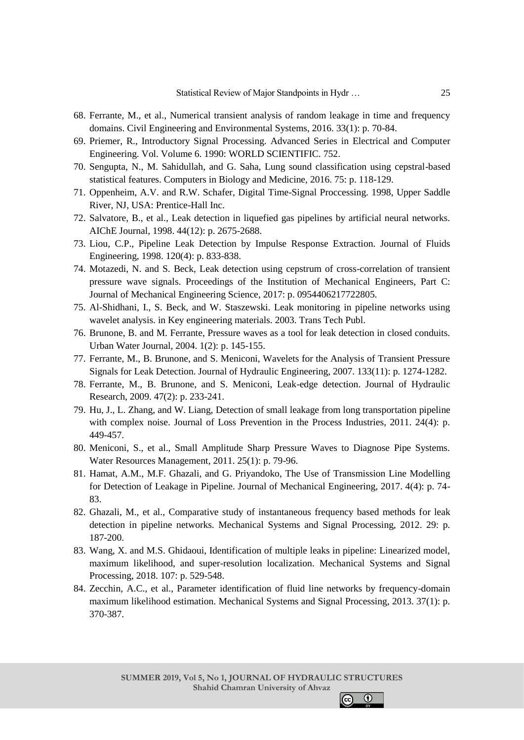- 68. Ferrante, M., et al., Numerical transient analysis of random leakage in time and frequency domains. Civil Engineering and Environmental Systems, 2016. 33(1): p. 70-84.
- 69. Priemer, R., Introductory Signal Processing. Advanced Series in Electrical and Computer Engineering. Vol. Volume 6. 1990: WORLD SCIENTIFIC. 752.
- 70. Sengupta, N., M. Sahidullah, and G. Saha, Lung sound classification using cepstral-based statistical features. Computers in Biology and Medicine, 2016. 75: p. 118-129.
- 71. Oppenheim, A.V. and R.W. Schafer, Digital Time-Signal Proccessing. 1998, Upper Saddle River, NJ, USA: Prentice-Hall Inc.
- 72. Salvatore, B., et al., Leak detection in liquefied gas pipelines by artificial neural networks. AIChE Journal, 1998. 44(12): p. 2675-2688.
- 73. Liou, C.P., Pipeline Leak Detection by Impulse Response Extraction. Journal of Fluids Engineering, 1998. 120(4): p. 833-838.
- 74. Motazedi, N. and S. Beck, Leak detection using cepstrum of cross-correlation of transient pressure wave signals. Proceedings of the Institution of Mechanical Engineers, Part C: Journal of Mechanical Engineering Science, 2017: p. 0954406217722805.
- 75. Al-Shidhani, I., S. Beck, and W. Staszewski. Leak monitoring in pipeline networks using wavelet analysis. in Key engineering materials. 2003. Trans Tech Publ.
- 76. Brunone, B. and M. Ferrante, Pressure waves as a tool for leak detection in closed conduits. Urban Water Journal, 2004. 1(2): p. 145-155.
- 77. Ferrante, M., B. Brunone, and S. Meniconi, Wavelets for the Analysis of Transient Pressure Signals for Leak Detection. Journal of Hydraulic Engineering, 2007. 133(11): p. 1274-1282.
- 78. Ferrante, M., B. Brunone, and S. Meniconi, Leak-edge detection. Journal of Hydraulic Research, 2009. 47(2): p. 233-241.
- 79. Hu, J., L. Zhang, and W. Liang, Detection of small leakage from long transportation pipeline with complex noise. Journal of Loss Prevention in the Process Industries, 2011. 24(4): p. 449-457.
- 80. Meniconi, S., et al., Small Amplitude Sharp Pressure Waves to Diagnose Pipe Systems. Water Resources Management, 2011. 25(1): p. 79-96.
- 81. Hamat, A.M., M.F. Ghazali, and G. Priyandoko, The Use of Transmission Line Modelling for Detection of Leakage in Pipeline. Journal of Mechanical Engineering, 2017. 4(4): p. 74- 83.
- 82. Ghazali, M., et al., Comparative study of instantaneous frequency based methods for leak detection in pipeline networks. Mechanical Systems and Signal Processing, 2012. 29: p. 187-200.
- 83. Wang, X. and M.S. Ghidaoui, Identification of multiple leaks in pipeline: Linearized model, maximum likelihood, and super-resolution localization. Mechanical Systems and Signal Processing, 2018. 107: p. 529-548.
- 84. Zecchin, A.C., et al., Parameter identification of fluid line networks by frequency-domain maximum likelihood estimation. Mechanical Systems and Signal Processing, 2013. 37(1): p. 370-387.